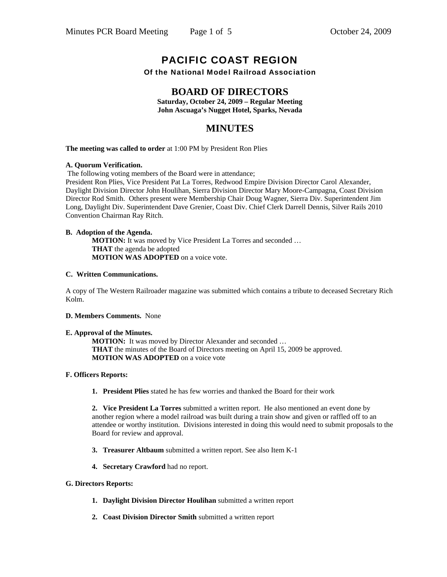# PACIFIC COAST REGION

Of the National Model Railroad Association

#### **BOARD OF DIRECTORS**

**Saturday, October 24, 2009 – Regular Meeting John Ascuaga's Nugget Hotel, Sparks, Nevada**

### **MINUTES**

**The meeting was called to order** at 1:00 PM by President Ron Plies

#### **A. Quorum Verification.**

The following voting members of the Board were in attendance;

President Ron Plies, Vice President Pat La Torres, Redwood Empire Division Director Carol Alexander, Daylight Division Director John Houlihan, Sierra Division Director Mary Moore-Campagna, Coast Division Director Rod Smith. Others present were Membership Chair Doug Wagner, Sierra Div. Superintendent Jim Long, Daylight Div. Superintendent Dave Grenier, Coast Div. Chief Clerk Darrell Dennis, Silver Rails 2010 Convention Chairman Ray Ritch.

#### **B. Adoption of the Agenda.**

 **MOTION:** It was moved by Vice President La Torres and seconded … **THAT** the agenda be adopted **MOTION WAS ADOPTED** on a voice vote.

#### **C. Written Communications.**

A copy of The Western Railroader magazine was submitted which contains a tribute to deceased Secretary Rich Kolm.

#### **D. Members Comments.** None

#### **E. Approval of the Minutes.**

 **MOTION:** It was moved by Director Alexander and seconded … **THAT** the minutes of the Board of Directors meeting on April 15, 2009 be approved. **MOTION WAS ADOPTED** on a voice vote

#### **F. Officers Reports:**

 **1. President Plies** stated he has few worries and thanked the Board for their work

**2. Vice President La Torres** submitted a written report. He also mentioned an event done by another region where a model railroad was built during a train show and given or raffled off to an attendee or worthy institution. Divisions interested in doing this would need to submit proposals to the Board for review and approval.

- **3. Treasurer Altbaum** submitted a written report. See also Item K-1
- **4. Secretary Crawford** had no report.

#### **G. Directors Reports:**

- **1. Daylight Division Director Houlihan** submitted a written report
- **2. Coast Division Director Smith** submitted a written report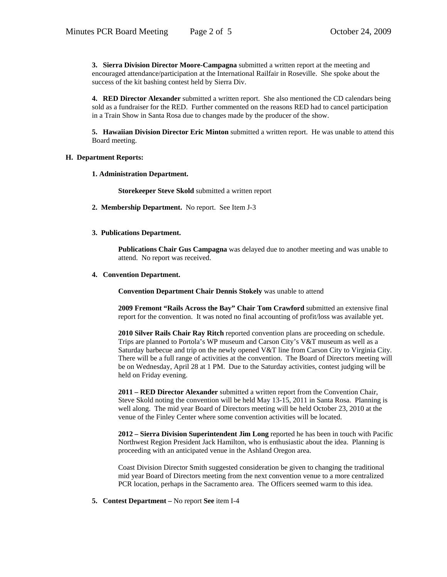**3. Sierra Division Director Moore-Campagna** submitted a written report at the meeting and encouraged attendance/participation at the International Railfair in Roseville. She spoke about the success of the kit bashing contest held by Sierra Div.

**4. RED Director Alexander** submitted a written report. She also mentioned the CD calendars being sold as a fundraiser for the RED. Further commented on the reasons RED had to cancel participation in a Train Show in Santa Rosa due to changes made by the producer of the show.

**5. Hawaiian Division Director Eric Minton** submitted a written report. He was unable to attend this Board meeting.

#### **H. Department Reports:**

 **1. Administration Department.** 

 **Storekeeper Steve Skold** submitted a written report

- **2. Membership Department.** No report. See Item J-3
- **3. Publications Department.**

 **Publications Chair Gus Campagna** was delayed due to another meeting and was unable to attend. No report was received.

**4. Convention Department.** 

 **Convention Department Chair Dennis Stokely** was unable to attend

 **2009 Fremont "Rails Across the Bay" Chair Tom Crawford** submitted an extensive final report for the convention. It was noted no final accounting of profit/loss was available yet.

 **2010 Silver Rails Chair Ray Ritch** reported convention plans are proceeding on schedule. Trips are planned to Portola's WP museum and Carson City's V&T museum as well as a Saturday barbecue and trip on the newly opened V&T line from Carson City to Virginia City. There will be a full range of activities at the convention. The Board of Directors meeting will be on Wednesday, April 28 at 1 PM. Due to the Saturday activities, contest judging will be held on Friday evening.

 **2011 – RED Director Alexander** submitted a written report from the Convention Chair, Steve Skold noting the convention will be held May 13-15, 2011 in Santa Rosa. Planning is well along. The mid year Board of Directors meeting will be held October 23, 2010 at the venue of the Finley Center where some convention activities will be located.

 **2012 – Sierra Division Superintendent Jim Long** reported he has been in touch with Pacific Northwest Region President Jack Hamilton, who is enthusiastic about the idea. Planning is proceeding with an anticipated venue in the Ashland Oregon area.

 Coast Division Director Smith suggested consideration be given to changing the traditional mid year Board of Directors meeting from the next convention venue to a more centralized PCR location, perhaps in the Sacramento area. The Officers seemed warm to this idea.

 **5. Contest Department –** No report **See** item I-4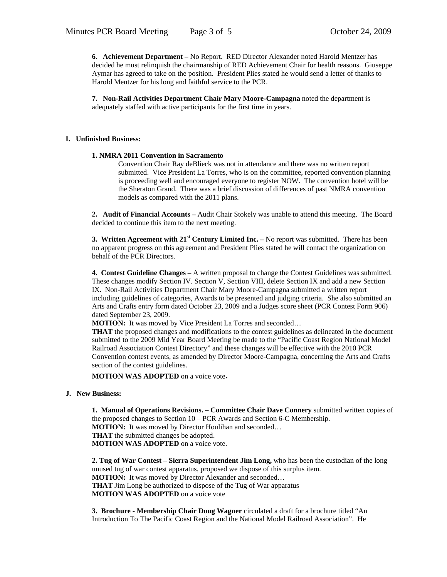**6. Achievement Department –** No Report. RED Director Alexander noted Harold Mentzer has decided he must relinquish the chairmanship of RED Achievement Chair for health reasons. Giuseppe Aymar has agreed to take on the position. President Plies stated he would send a letter of thanks to Harold Mentzer for his long and faithful service to the PCR.

**7. Non-Rail Activities Department Chair Mary Moore-Campagna** noted the department is adequately staffed with active participants for the first time in years.

#### **I. Unfinished Business:**

#### **1. NMRA 2011 Convention in Sacramento**

Convention Chair Ray deBlieck was not in attendance and there was no written report submitted. Vice President La Torres, who is on the committee, reported convention planning is proceeding well and encouraged everyone to register NOW. The convention hotel will be the Sheraton Grand. There was a brief discussion of differences of past NMRA convention models as compared with the 2011 plans.

**2. Audit of Financial Accounts –** Audit Chair Stokely was unable to attend this meeting. The Board decided to continue this item to the next meeting.

**3. Written Agreement with 21st Century Limited Inc. –** No report was submitted. There has been no apparent progress on this agreement and President Plies stated he will contact the organization on behalf of the PCR Directors.

**4. Contest Guideline Changes –** A written proposal to change the Contest Guidelines was submitted. These changes modify Section IV. Section V, Section VIII, delete Section IX and add a new Section IX. Non-Rail Activities Department Chair Mary Moore-Campagna submitted a written report including guidelines of categories, Awards to be presented and judging criteria. She also submitted an Arts and Crafts entry form dated October 23, 2009 and a Judges score sheet (PCR Contest Form 906) dated September 23, 2009.

**MOTION:** It was moved by Vice President La Torres and seconded…

**THAT** the proposed changes and modifications to the contest guidelines as delineated in the document submitted to the 2009 Mid Year Board Meeting be made to the "Pacific Coast Region National Model Railroad Association Contest Directory" and these changes will be effective with the 2010 PCR Convention contest events, as amended by Director Moore-Campagna, concerning the Arts and Crafts section of the contest guidelines.

**MOTION WAS ADOPTED** on a voice vote.

#### **J. New Business:**

 **1. Manual of Operations Revisions. – Committee Chair Dave Connery** submitted written copies of the proposed changes to Section 10 – PCR Awards and Section 6-C Membership. **MOTION:** It was moved by Director Houlihan and seconded… **THAT** the submitted changes be adopted. **MOTION WAS ADOPTED** on a voice vote.

**2. Tug of War Contest – Sierra Superintendent Jim Long,** who has been the custodian of the long unused tug of war contest apparatus, proposed we dispose of this surplus item. **MOTION:** It was moved by Director Alexander and seconded… **THAT** Jim Long be authorized to dispose of the Tug of War apparatus **MOTION WAS ADOPTED** on a voice vote

**3. Brochure - Membership Chair Doug Wagner** circulated a draft for a brochure titled "An Introduction To The Pacific Coast Region and the National Model Railroad Association". He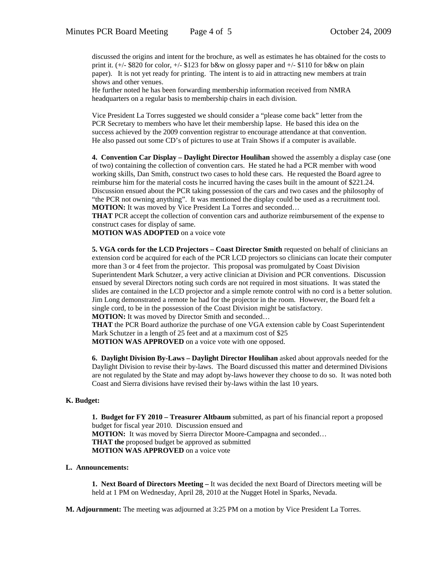discussed the origins and intent for the brochure, as well as estimates he has obtained for the costs to print it.  $(+/-$  \$820 for color,  $+/-$  \$123 for b&w on glossy paper and  $+/-$  \$110 for b&w on plain paper). It is not yet ready for printing. The intent is to aid in attracting new members at train shows and other venues.

 He further noted he has been forwarding membership information received from NMRA headquarters on a regular basis to membership chairs in each division.

 Vice President La Torres suggested we should consider a "please come back" letter from the PCR Secretary to members who have let their membership lapse. He based this idea on the success achieved by the 2009 convention registrar to encourage attendance at that convention. He also passed out some CD's of pictures to use at Train Shows if a computer is available.

 **4. Convention Car Display – Daylight Director Houlihan** showed the assembly a display case (one of two) containing the collection of convention cars. He stated he had a PCR member with wood working skills, Dan Smith, construct two cases to hold these cars. He requested the Board agree to reimburse him for the material costs he incurred having the cases built in the amount of \$221.24. Discussion ensued about the PCR taking possession of the cars and two cases and the philosophy of "the PCR not owning anything". It was mentioned the display could be used as a recruitment tool. **MOTION:** It was moved by Vice President La Torres and seconded...

**THAT** PCR accept the collection of convention cars and authorize reimbursement of the expense to construct cases for display of same.

**MOTION WAS ADOPTED** on a voice vote

**5. VGA cords for the LCD Projectors – Coast Director Smith** requested on behalf of clinicians an extension cord be acquired for each of the PCR LCD projectors so clinicians can locate their computer more than 3 or 4 feet from the projector. This proposal was promulgated by Coast Division Superintendent Mark Schutzer, a very active clinician at Division and PCR conventions. Discussion ensued by several Directors noting such cords are not required in most situations. It was stated the slides are contained in the LCD projector and a simple remote control with no cord is a better solution. Jim Long demonstrated a remote he had for the projector in the room. However, the Board felt a single cord, to be in the possession of the Coast Division might be satisfactory.

**MOTION:** It was moved by Director Smith and seconded…

**THAT** the PCR Board authorize the purchase of one VGA extension cable by Coast Superintendent Mark Schutzer in a length of 25 feet and at a maximum cost of \$25

**MOTION WAS APPROVED** on a voice vote with one opposed.

**6. Daylight Division By-Laws – Daylight Director Houlihan** asked about approvals needed for the Daylight Division to revise their by-laws. The Board discussed this matter and determined Divisions are not regulated by the State and may adopt by-laws however they choose to do so. It was noted both Coast and Sierra divisions have revised their by-laws within the last 10 years.

#### **K. Budget:**

 **1. Budget for FY 2010 – Treasurer Altbaum** submitted, as part of his financial report a proposed budget for fiscal year 2010. Discussion ensued and **MOTION:** It was moved by Sierra Director Moore-Campagna and seconded... **THAT the** proposed budget be approved as submitted **MOTION WAS APPROVED** on a voice vote

#### **L. Announcements:**

 **1. Next Board of Directors Meeting –** It was decided the next Board of Directors meeting will be held at 1 PM on Wednesday, April 28, 2010 at the Nugget Hotel in Sparks, Nevada.

**M. Adjournment:** The meeting was adjourned at 3:25 PM on a motion by Vice President La Torres.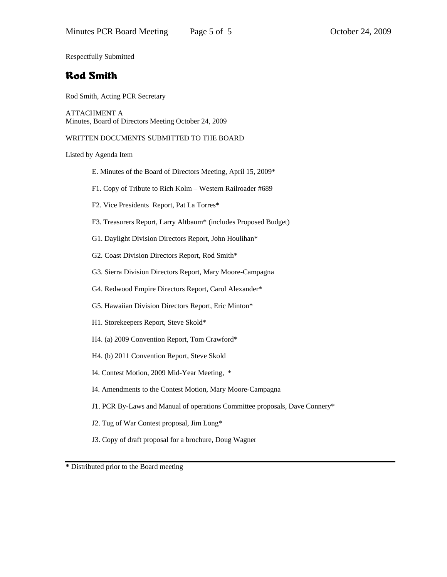Respectfully Submitted

# Rod Smith

Rod Smith, Acting PCR Secretary

ATTACHMENT A Minutes, Board of Directors Meeting October 24, 2009

WRITTEN DOCUMENTS SUBMITTED TO THE BOARD

Listed by Agenda Item

- E. Minutes of the Board of Directors Meeting, April 15, 2009\*
- F1. Copy of Tribute to Rich Kolm Western Railroader #689
- F2. Vice Presidents Report, Pat La Torres\*
- F3. Treasurers Report, Larry Altbaum\* (includes Proposed Budget)
- G1. Daylight Division Directors Report, John Houlihan\*
- G2. Coast Division Directors Report, Rod Smith\*
- G3. Sierra Division Directors Report, Mary Moore-Campagna
- G4. Redwood Empire Directors Report, Carol Alexander\*
- G5. Hawaiian Division Directors Report, Eric Minton\*
- H1. Storekeepers Report, Steve Skold\*
- H4. (a) 2009 Convention Report, Tom Crawford\*
- H4. (b) 2011 Convention Report, Steve Skold
- I4. Contest Motion, 2009 Mid-Year Meeting, \*
- I4. Amendments to the Contest Motion, Mary Moore-Campagna
- J1. PCR By-Laws and Manual of operations Committee proposals, Dave Connery\*
- J2. Tug of War Contest proposal, Jim Long\*
- J3. Copy of draft proposal for a brochure, Doug Wagner

**\*** Distributed prior to the Board meeting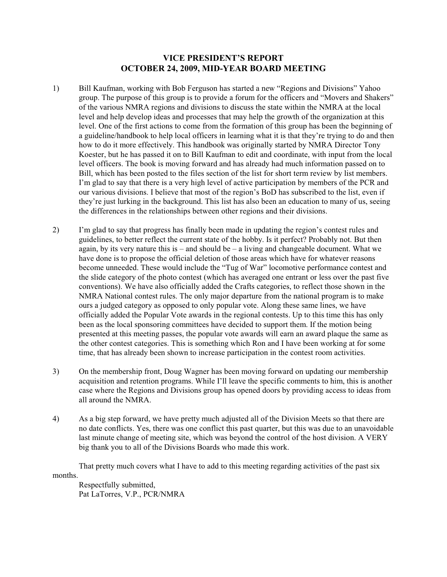#### **VICE PRESIDENT'S REPORT OCTOBER 24, 2009, MID-YEAR BOARD MEETING**

- 1) Bill Kaufman, working with Bob Ferguson has started a new "Regions and Divisions" Yahoo group. The purpose of this group is to provide a forum for the officers and "Movers and Shakers" of the various NMRA regions and divisions to discuss the state within the NMRA at the local level and help develop ideas and processes that may help the growth of the organization at this level. One of the first actions to come from the formation of this group has been the beginning of a guideline/handbook to help local officers in learning what it is that they're trying to do and then how to do it more effectively. This handbook was originally started by NMRA Director Tony Koester, but he has passed it on to Bill Kaufman to edit and coordinate, with input from the local level officers. The book is moving forward and has already had much information passed on to Bill, which has been posted to the files section of the list for short term review by list members. I'm glad to say that there is a very high level of active participation by members of the PCR and our various divisions. I believe that most of the region's BoD has subscribed to the list, even if they're just lurking in the background. This list has also been an education to many of us, seeing the differences in the relationships between other regions and their divisions.
- 2) I'm glad to say that progress has finally been made in updating the region's contest rules and guidelines, to better reflect the current state of the hobby. Is it perfect? Probably not. But then again, by its very nature this is – and should be – a living and changeable document. What we have done is to propose the official deletion of those areas which have for whatever reasons become unneeded. These would include the "Tug of War" locomotive performance contest and the slide category of the photo contest (which has averaged one entrant or less over the past five conventions). We have also officially added the Crafts categories, to reflect those shown in the NMRA National contest rules. The only major departure from the national program is to make ours a judged category as opposed to only popular vote. Along these same lines, we have officially added the Popular Vote awards in the regional contests. Up to this time this has only been as the local sponsoring committees have decided to support them. If the motion being presented at this meeting passes, the popular vote awards will earn an award plaque the same as the other contest categories. This is something which Ron and I have been working at for some time, that has already been shown to increase participation in the contest room activities.
- 3) On the membership front, Doug Wagner has been moving forward on updating our membership acquisition and retention programs. While I'll leave the specific comments to him, this is another case where the Regions and Divisions group has opened doors by providing access to ideas from all around the NMRA.
- 4) As a big step forward, we have pretty much adjusted all of the Division Meets so that there are no date conflicts. Yes, there was one conflict this past quarter, but this was due to an unavoidable last minute change of meeting site, which was beyond the control of the host division. A VERY big thank you to all of the Divisions Boards who made this work.

That pretty much covers what I have to add to this meeting regarding activities of the past six months.

Respectfully submitted, Pat LaTorres, V.P., PCR/NMRA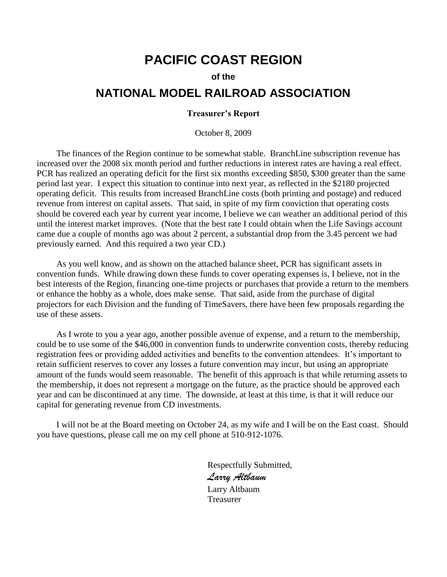# **PACIFIC COAST REGION**

#### **of the**

# **NATIONAL MODEL RAILROAD ASSOCIATION**

#### **Treasurer's Report**

October 8, 2009

The finances of the Region continue to be somewhat stable. BranchLine subscription revenue has increased over the 2008 six month period and further reductions in interest rates are having a real effect. PCR has realized an operating deficit for the first six months exceeding \$850, \$300 greater than the same period last year. I expect this situation to continue into next year, as reflected in the \$2180 projected operating deficit. This results from increased BranchLine costs (both printing and postage) and reduced revenue from interest on capital assets. That said, in spite of my firm conviction that operating costs should be covered each year by current year income, I believe we can weather an additional period of this until the interest market improves. (Note that the best rate I could obtain when the Life Savings account came due a couple of months ago was about 2 percent, a substantial drop from the 3.45 percent we had previously earned. And this required a two year CD.)

As you well know, and as shown on the attached balance sheet, PCR has significant assets in convention funds. While drawing down these funds to cover operating expenses is, I believe, not in the best interests of the Region, financing one-time projects or purchases that provide a return to the members or enhance the hobby as a whole, does make sense. That said, aside from the purchase of digital projectors for each Division and the funding of TimeSavers, there have been few proposals regarding the use of these assets.

As I wrote to you a year ago, another possible avenue of expense, and a return to the membership, could be to use some of the \$46,000 in convention funds to underwrite convention costs, thereby reducing registration fees or providing added activities and benefits to the convention attendees. It's important to retain sufficient reserves to cover any losses a future convention may incur, but using an appropriate amount of the funds would seem reasonable. The benefit of this approach is that while returning assets to the membership, it does not represent a mortgage on the future, as the practice should be approved each year and can be discontinued at any time. The downside, at least at this time, is that it will reduce our capital for generating revenue from CD investments.

I will not be at the Board meeting on October 24, as my wife and I will be on the East coast. Should you have questions, please call me on my cell phone at 510-912-1076.

> Respectfully Submitted, *Larry Altbaum* Larry Altbaum Treasurer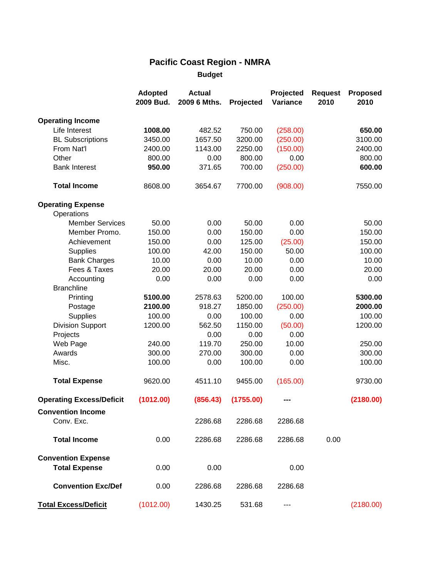# **Pacific Coast Region - NMRA**

**Budget**

|                                                   | <b>Adopted</b><br>2009 Bud. | <b>Actual</b><br>2009 6 Mths. | Projected         | Projected<br>Variance | <b>Request</b><br>2010 | <b>Proposed</b><br>2010 |
|---------------------------------------------------|-----------------------------|-------------------------------|-------------------|-----------------------|------------------------|-------------------------|
|                                                   |                             |                               |                   |                       |                        |                         |
| <b>Operating Income</b><br>Life Interest          | 1008.00                     | 482.52                        | 750.00            | (258.00)              |                        | 650.00                  |
|                                                   | 3450.00                     | 1657.50                       | 3200.00           | (250.00)              |                        | 3100.00                 |
| <b>BL Subscriptions</b><br>From Nat'l             |                             | 1143.00                       |                   |                       |                        |                         |
| Other                                             | 2400.00<br>800.00           | 0.00                          | 2250.00<br>800.00 | (150.00)<br>0.00      |                        | 2400.00                 |
| <b>Bank Interest</b>                              | 950.00                      | 371.65                        | 700.00            |                       |                        | 800.00<br>600.00        |
|                                                   |                             |                               |                   | (250.00)              |                        |                         |
| <b>Total Income</b>                               | 8608.00                     | 3654.67                       | 7700.00           | (908.00)              |                        | 7550.00                 |
| <b>Operating Expense</b>                          |                             |                               |                   |                       |                        |                         |
| Operations                                        |                             |                               |                   |                       |                        |                         |
| <b>Member Services</b>                            | 50.00                       | 0.00                          | 50.00             | 0.00                  |                        | 50.00                   |
| Member Promo.                                     | 150.00                      | 0.00                          | 150.00            | 0.00                  |                        | 150.00                  |
| Achievement                                       | 150.00                      | 0.00                          | 125.00            | (25.00)               |                        | 150.00                  |
| Supplies                                          | 100.00                      | 42.00                         | 150.00            | 50.00                 |                        | 100.00                  |
| <b>Bank Charges</b>                               | 10.00                       | 0.00                          | 10.00             | 0.00                  |                        | 10.00                   |
| Fees & Taxes                                      | 20.00                       | 20.00                         | 20.00             | 0.00                  |                        | 20.00                   |
| Accounting                                        | 0.00                        | 0.00                          | 0.00              | 0.00                  |                        | 0.00                    |
| <b>Branchline</b>                                 |                             |                               |                   |                       |                        |                         |
| Printing                                          | 5100.00                     | 2578.63                       | 5200.00           | 100.00                |                        | 5300.00                 |
| Postage                                           | 2100.00                     | 918.27                        | 1850.00           | (250.00)              |                        | 2000.00                 |
| Supplies                                          | 100.00                      | 0.00                          | 100.00            | 0.00                  |                        | 100.00                  |
| <b>Division Support</b>                           | 1200.00                     | 562.50                        | 1150.00           | (50.00)               |                        | 1200.00                 |
| Projects                                          |                             | 0.00                          | 0.00              | 0.00                  |                        |                         |
| Web Page                                          | 240.00                      | 119.70                        | 250.00            | 10.00                 |                        | 250.00                  |
| Awards                                            | 300.00                      | 270.00                        | 300.00            | 0.00                  |                        | 300.00                  |
| Misc.                                             | 100.00                      | 0.00                          | 100.00            | 0.00                  |                        | 100.00                  |
| <b>Total Expense</b>                              | 9620.00                     | 4511.10                       | 9455.00           | (165.00)              |                        | 9730.00                 |
| <b>Operating Excess/Deficit</b>                   | (1012.00)                   | (856.43)                      | (1755.00)         |                       |                        | (2180.00)               |
| <b>Convention Income</b>                          |                             |                               |                   |                       |                        |                         |
| Conv. Exc.                                        |                             | 2286.68                       | 2286.68           | 2286.68               |                        |                         |
| <b>Total Income</b>                               | 0.00                        | 2286.68                       | 2286.68           | 2286.68               | 0.00                   |                         |
| <b>Convention Expense</b><br><b>Total Expense</b> | 0.00                        | 0.00                          |                   | 0.00                  |                        |                         |
| <b>Convention Exc/Def</b>                         | 0.00                        | 2286.68                       | 2286.68           | 2286.68               |                        |                         |
| <b>Total Excess/Deficit</b>                       | (1012.00)                   | 1430.25                       | 531.68            | $\qquad \qquad -$     |                        | (2180.00)               |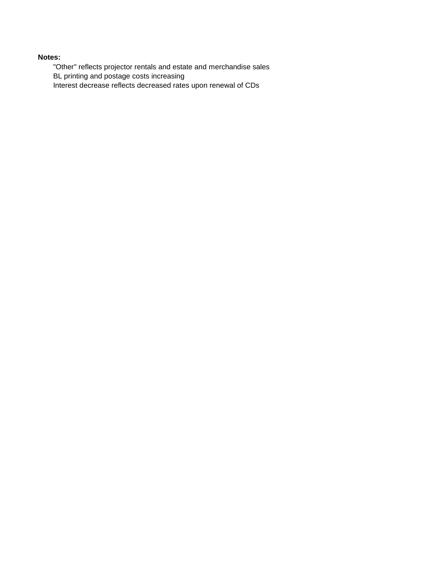#### **Notes:**

"Other" reflects projector rentals and estate and merchandise sales BL printing and postage costs increasing Interest decrease reflects decreased rates upon renewal of CDs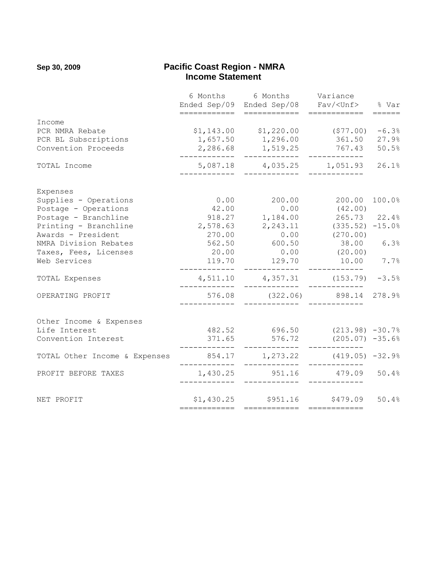#### **Sep 30, 2009 Pacific Coast Region - NMRA Example 21 and 22 and 23 and 24 and 25 and 26 and 26 and 26 and 26 and 26 and 26 and 26 and 26 and 26 and 26 and 26 and 26 and 26 and 26 and 26 and 26 and 26 and 26 and 26 and 26 and 26 and 26 and 26 and 26 and 26 and 26**

|                               |              | 6 Months 6 Months Variance                                   |                                    |                 |
|-------------------------------|--------------|--------------------------------------------------------------|------------------------------------|-----------------|
|                               |              | Ended Sep/09 Ended Sep/08 Fav/ <unf> % Var</unf>             |                                    |                 |
|                               |              |                                                              | ============                       | $= = = = = = =$ |
| Income                        |              |                                                              |                                    |                 |
| PCR NMRA Rebate               |              | $$1,143.00$ $$1,220.00$ (\$77.00)                            |                                    | $-6.3%$         |
| PCR BL Subscriptions          |              | 1,657.50 1,296.00                                            | 361.50 27.9%                       |                 |
| Convention Proceeds           | ____________ | 2,286.68 1,519.25 767.43 50.5%<br>___________                |                                    |                 |
| TOTAL Income                  |              | 5,087.18 4,035.25 1,051.93 26.1%                             |                                    |                 |
| Expenses                      |              |                                                              |                                    |                 |
| Supplies - Operations         |              | $0.00$ 200.00 200.00                                         |                                    | 100.0%          |
| Postage - Operations          |              | 42.00 0.00 (42.00)                                           |                                    |                 |
| Postage - Branchline          |              | 918.27 1,184.00 265.73 22.4%                                 |                                    |                 |
| Printing - Branchline         |              | $2,578.63$ $2,243.11$ $(335.52)$ $-15.0\%$                   |                                    |                 |
| Awards - President            |              | 270.00 0.00 (270.00)                                         |                                    |                 |
| NMRA Division Rebates         |              | 562.50 600.50 38.00 6.3%                                     |                                    |                 |
| Taxes, Fees, Licenses         |              | $20.00$ 0.00 (20.00)                                         |                                    |                 |
| Web Services                  |              | 119.70 129.70 10.00 7.7%                                     | $  -$                              |                 |
| TOTAL Expenses                | ____________ | $4,511.10$ $4,357.31$ $(153.79)$ $-3.5%$                     |                                    |                 |
| OPERATING PROFIT              |              | 576.08 (322.06) 898.14<br>____     _____________      ______ |                                    | 278.9%          |
| Other Income & Expenses       |              |                                                              |                                    |                 |
| Life Interest                 |              | 482.52 696.50 (213.98) -30.7%                                |                                    |                 |
| Convention Interest           |              | 371.65 576.72<br>____________                                | $(205.07)$ -35.6%<br>------------- |                 |
| TOTAL Other Income & Expenses |              | 854.17 1,273.22 (419.05) -32.9%                              | ____________                       |                 |
| PROFIT BEFORE TAXES           |              | 1,430.25 951.16 479.09 50.4%                                 |                                    |                 |
| NET PROFIT                    |              | \$1,430.25 \$951.16 \$479.09 50.4%                           |                                    |                 |
|                               |              |                                                              | $=$ ============                   |                 |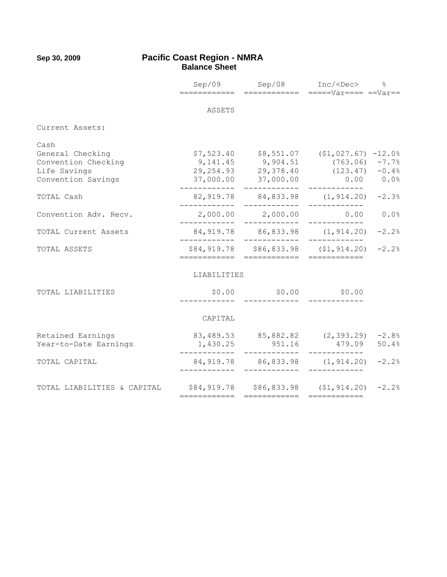#### **Sep 30, 2009 Pacific Coast Region - NMRA Balance Sheet**

|                             |                                                               | Sep/09 Sep/08 Inc/ <dec> %</dec>                     |              |         |
|-----------------------------|---------------------------------------------------------------|------------------------------------------------------|--------------|---------|
|                             | ============                                                  |                                                      |              |         |
|                             | ASSETS                                                        |                                                      |              |         |
|                             |                                                               |                                                      |              |         |
| Current Assets:             |                                                               |                                                      |              |         |
| Cash                        |                                                               |                                                      |              |         |
| General Checking            |                                                               | $$7,523.40$ $$8,551.07$ $$1,027.67$ $$-12.0%$        |              |         |
| Convention Checking         |                                                               | $9,141.45$ $9,904.51$ $(763.06)$ $-7.7%$             |              |         |
| Life Savings                |                                                               | 29, 254.93 29, 378.40 (123.47) -0.4%                 |              |         |
| Convention Savings          |                                                               | 37,000.00 37,000.00 0.00 0.0%                        |              |         |
| TOTAL Cash                  |                                                               | 82,919.78 84,833.98 (1,914.20) -2.3%<br>---------    |              |         |
| Convention Adv. Recv.       |                                                               | 2,000.00 2,000.00<br>------------                    | 0.00         | 0.0%    |
| TOTAL Current Assets        |                                                               | 84,919.78 86,833.98 (1,914.20)<br>_____________      |              | $-2.2%$ |
| TOTAL ASSETS                | ============                                                  | \$84,919.78 \$86,833.98 (\$1,914.20)<br>============ |              | $-2.2%$ |
|                             | LIABILITIES                                                   |                                                      |              |         |
|                             |                                                               |                                                      |              |         |
| TOTAL LIABILITIES           |                                                               | $$0.00$ \$0.00 \$0.00                                |              |         |
|                             | CAPITAL                                                       |                                                      |              |         |
|                             |                                                               |                                                      |              |         |
| Retained Earnings           |                                                               | 83,489.53 85,882.82 (2,393.29) -2.8%                 |              |         |
| Year-to-Date Earnings       | 1,430.25                                                      | 951.16                                               | 479.09 50.4% |         |
| TOTAL CAPITAL               | $84,919.78$ $86,833.98$ $(1,914.20)$ $-2.2%$                  |                                                      | ____________ |         |
|                             |                                                               |                                                      |              |         |
| TOTAL LIABILITIES & CAPITAL | $$84,919.78$ $$86,833.98$ $$1,914.20$ $$2.2\$<br>============ | ============                                         | ============ |         |
|                             |                                                               |                                                      |              |         |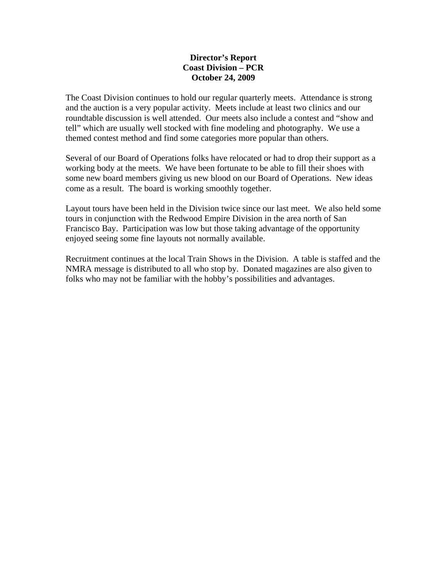#### **Director's Report Coast Division – PCR October 24, 2009**

The Coast Division continues to hold our regular quarterly meets. Attendance is strong and the auction is a very popular activity. Meets include at least two clinics and our roundtable discussion is well attended. Our meets also include a contest and "show and tell" which are usually well stocked with fine modeling and photography. We use a themed contest method and find some categories more popular than others.

Several of our Board of Operations folks have relocated or had to drop their support as a working body at the meets. We have been fortunate to be able to fill their shoes with some new board members giving us new blood on our Board of Operations. New ideas come as a result. The board is working smoothly together.

Layout tours have been held in the Division twice since our last meet. We also held some tours in conjunction with the Redwood Empire Division in the area north of San Francisco Bay. Participation was low but those taking advantage of the opportunity enjoyed seeing some fine layouts not normally available.

Recruitment continues at the local Train Shows in the Division. A table is staffed and the NMRA message is distributed to all who stop by. Donated magazines are also given to folks who may not be familiar with the hobby's possibilities and advantages.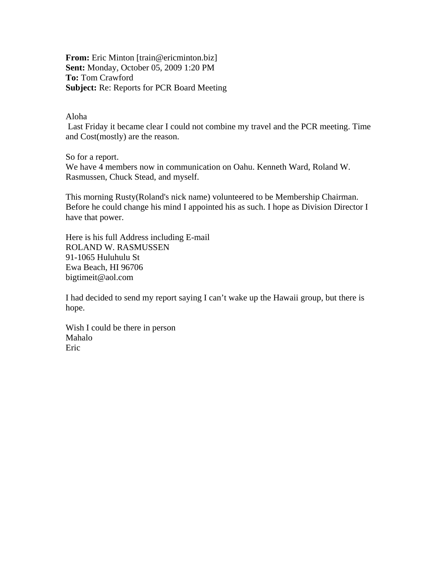**From:** Eric Minton [train@ericminton.biz] **Sent:** Monday, October 05, 2009 1:20 PM **To:** Tom Crawford **Subject:** Re: Reports for PCR Board Meeting

Aloha

 Last Friday it became clear I could not combine my travel and the PCR meeting. Time and Cost(mostly) are the reason.

So for a report.

We have 4 members now in communication on Oahu. Kenneth Ward, Roland W. Rasmussen, Chuck Stead, and myself.

This morning Rusty(Roland's nick name) volunteered to be Membership Chairman. Before he could change his mind I appointed his as such. I hope as Division Director I have that power.

Here is his full Address including E-mail ROLAND W. RASMUSSEN 91-1065 Huluhulu St Ewa Beach, HI 96706 bigtimeit@aol.com

I had decided to send my report saying I can't wake up the Hawaii group, but there is hope.

Wish I could be there in person Mahalo Eric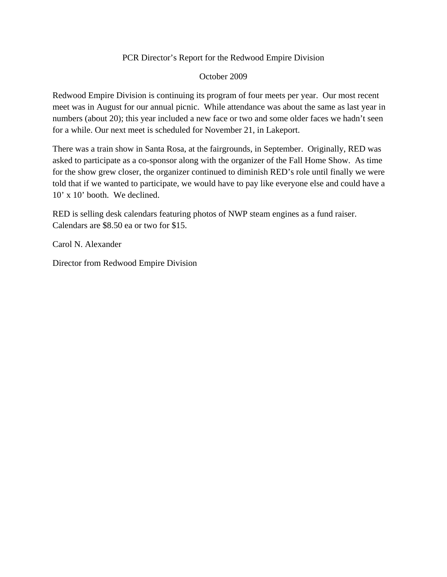### PCR Director's Report for the Redwood Empire Division

October 2009

Redwood Empire Division is continuing its program of four meets per year. Our most recent meet was in August for our annual picnic. While attendance was about the same as last year in numbers (about 20); this year included a new face or two and some older faces we hadn't seen for a while. Our next meet is scheduled for November 21, in Lakeport.

There was a train show in Santa Rosa, at the fairgrounds, in September. Originally, RED was asked to participate as a co-sponsor along with the organizer of the Fall Home Show. As time for the show grew closer, the organizer continued to diminish RED's role until finally we were told that if we wanted to participate, we would have to pay like everyone else and could have a 10' x 10' booth. We declined.

RED is selling desk calendars featuring photos of NWP steam engines as a fund raiser. Calendars are \$8.50 ea or two for \$15.

Carol N. Alexander

Director from Redwood Empire Division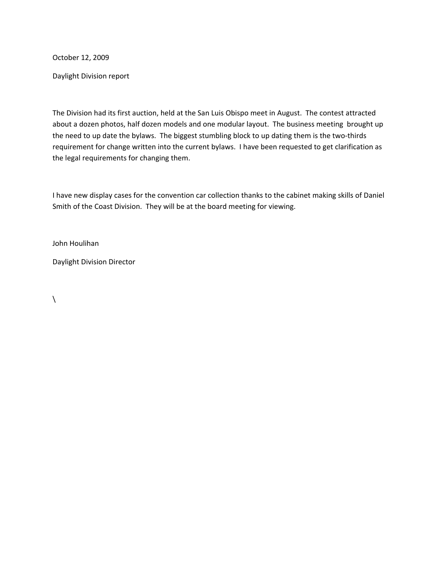October 12, 2009

Daylight Division report

The Division had its first auction, held at the San Luis Obispo meet in August. The contest attracted about a dozen photos, half dozen models and one modular layout. The business meeting brought up the need to up date the bylaws. The biggest stumbling block to up dating them is the two-thirds requirement for change written into the current bylaws. I have been requested to get clarification as the legal requirements for changing them.

I have new display cases for the convention car collection thanks to the cabinet making skills of Daniel Smith of the Coast Division. They will be at the board meeting for viewing.

John Houlihan

Daylight Division Director

 $\lambda$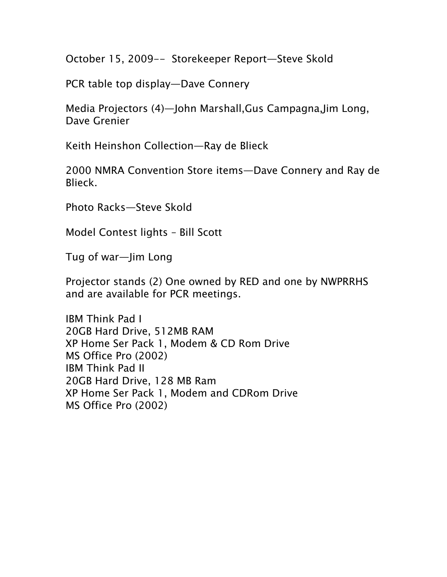October 15, 2009-- Storekeeper Report—Steve Skold

PCR table top display—Dave Connery

Media Projectors (4)—John Marshall,Gus Campagna,Jim Long, Dave Grenier

Keith Heinshon Collection—Ray de Blieck

2000 NMRA Convention Store items—Dave Connery and Ray de Blieck.

Photo Racks—Steve Skold

Model Contest lights – Bill Scott

Tug of war—Jim Long

Projector stands (2) One owned by RED and one by NWPRRHS and are available for PCR meetings.

IBM Think Pad I 20GB Hard Drive, 512MB RAM XP Home Ser Pack 1, Modem & CD Rom Drive MS Office Pro (2002) IBM Think Pad II 20GB Hard Drive, 128 MB Ram XP Home Ser Pack 1, Modem and CDRom Drive MS Office Pro (2002)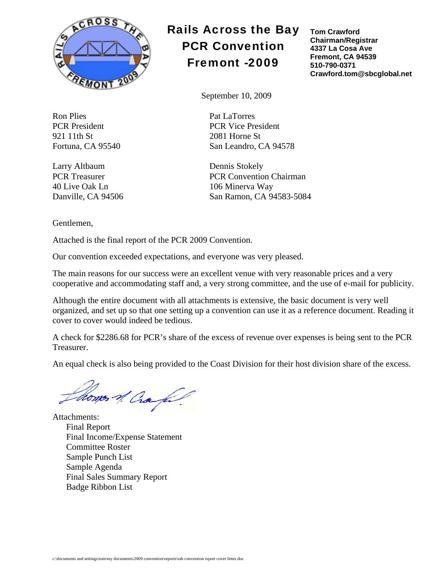

Ron Plies Pat LaTorres 921 11th St 2081 Horne St

Larry Altbaum Dennis Stokely 40 Live Oak Ln 106 Minerva Way

Gentlemen,

Attached is the final report of the PCR 2009 Convention.

Our convention exceeded expectations, and everyone was very pleased.

The main reasons for our success were an excellent venue with very reasonable prices and a very cooperative and accommodating staff and, a very strong committee, and the use of e-mail for publicity.

Although the entire document with all attachments is extensive, the basic document is very well organized, and set up so that one setting up a convention can use it as a reference document. Reading it cover to cover would indeed be tedious.

A check for \$2286.68 for PCR's share of the excess of revenue over expenses is being sent to the PCR Treasurer.

An equal check is also being provided to the Coast Division for their host division share of the excess.

homes of Craft.

Attachments: Final Report Final Income/Expense Statement Committee Roster Sample Punch List Sample Agenda Final Sales Summary Report Badge Ribbon List

# Rails Across the Bay PCR Convention Fremont -2009

**Tom Crawford Chairman/Registrar 4337 La Cosa Ave Fremont, CA 94539 510-790-0371 Crawford.tom@sbcglobal.net** 

September 10, 2009

PCR President PCR Vice President Fortuna, CA 95540 San Leandro, CA 94578

PCR Treasurer PCR Convention Chairman Danville, CA 94506 San Ramon, CA 94583-5084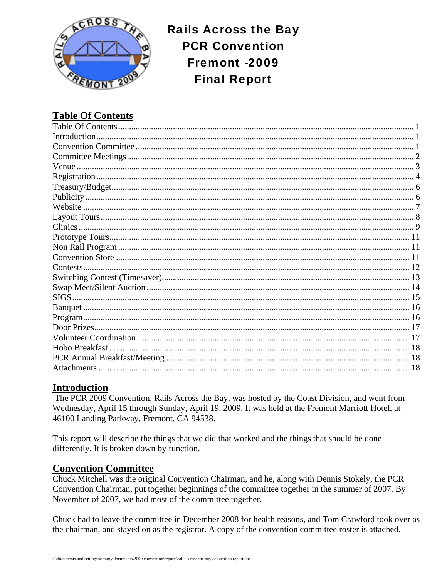

**Rails Across the Bay PCR Convention** Fremont -2009 **Final Report** 

# **Table Of Contents**

| Contests |  |
|----------|--|
|          |  |
|          |  |
|          |  |
|          |  |
|          |  |
|          |  |
|          |  |
|          |  |
|          |  |
|          |  |

# **Introduction**

The PCR 2009 Convention, Rails Across the Bay, was hosted by the Coast Division, and went from Wednesday, April 15 through Sunday, April 19, 2009. It was held at the Fremont Marriott Hotel, at 46100 Landing Parkway, Fremont, CA 94538.

This report will describe the things that we did that worked and the things that should be done differently. It is broken down by function.

# **Convention Committee**

Chuck Mitchell was the original Convention Chairman, and he, along with Dennis Stokely, the PCR Convention Chairman, put together beginnings of the committee together in the summer of 2007. By November of 2007, we had most of the committee together.

Chuck had to leave the committee in December 2008 for health reasons, and Tom Crawford took over as the chairman, and stayed on as the registrar. A copy of the convention committee roster is attached.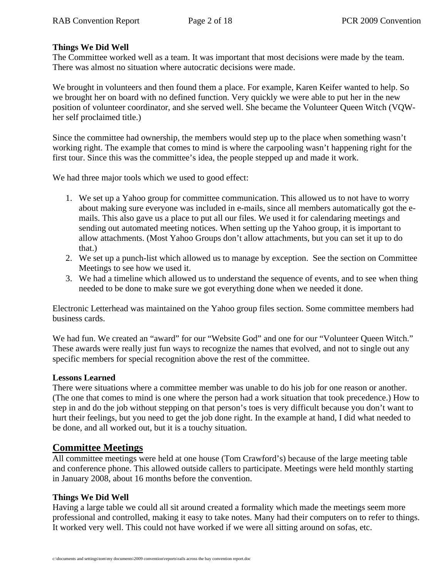#### **Things We Did Well**

The Committee worked well as a team. It was important that most decisions were made by the team. There was almost no situation where autocratic decisions were made.

We brought in volunteers and then found them a place. For example, Karen Keifer wanted to help. So we brought her on board with no defined function. Very quickly we were able to put her in the new position of volunteer coordinator, and she served well. She became the Volunteer Queen Witch (VQWher self proclaimed title.)

Since the committee had ownership, the members would step up to the place when something wasn't working right. The example that comes to mind is where the carpooling wasn't happening right for the first tour. Since this was the committee's idea, the people stepped up and made it work.

We had three major tools which we used to good effect:

- 1. We set up a Yahoo group for committee communication. This allowed us to not have to worry about making sure everyone was included in e-mails, since all members automatically got the emails. This also gave us a place to put all our files. We used it for calendaring meetings and sending out automated meeting notices. When setting up the Yahoo group, it is important to allow attachments. (Most Yahoo Groups don't allow attachments, but you can set it up to do that.)
- 2. We set up a punch-list which allowed us to manage by exception. See the section on Committee Meetings to see how we used it.
- 3. We had a timeline which allowed us to understand the sequence of events, and to see when thing needed to be done to make sure we got everything done when we needed it done.

Electronic Letterhead was maintained on the Yahoo group files section. Some committee members had business cards.

We had fun. We created an "award" for our "Website God" and one for our "Volunteer Queen Witch." These awards were really just fun ways to recognize the names that evolved, and not to single out any specific members for special recognition above the rest of the committee.

#### **Lessons Learned**

There were situations where a committee member was unable to do his job for one reason or another. (The one that comes to mind is one where the person had a work situation that took precedence.) How to step in and do the job without stepping on that person's toes is very difficult because you don't want to hurt their feelings, but you need to get the job done right. In the example at hand, I did what needed to be done, and all worked out, but it is a touchy situation.

### **Committee Meetings**

All committee meetings were held at one house (Tom Crawford's) because of the large meeting table and conference phone. This allowed outside callers to participate. Meetings were held monthly starting in January 2008, about 16 months before the convention.

#### **Things We Did Well**

Having a large table we could all sit around created a formality which made the meetings seem more professional and controlled, making it easy to take notes. Many had their computers on to refer to things. It worked very well. This could not have worked if we were all sitting around on sofas, etc.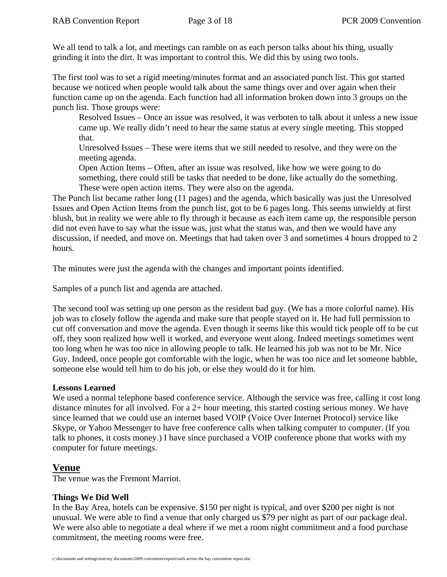We all tend to talk a lot, and meetings can ramble on as each person talks about his thing, usually grinding it into the dirt. It was important to control this. We did this by using two tools.

The first tool was to set a rigid meeting/minutes format and an associated punch list. This got started because we noticed when people would talk about the same things over and over again when their function came up on the agenda. Each function had all information broken down into 3 groups on the punch list. Those groups were:

Resolved Issues – Once an issue was resolved, it was verboten to talk about it unless a new issue came up. We really didn't need to hear the same status at every single meeting. This stopped that.

Unresolved Issues – These were items that we still needed to resolve, and they were on the meeting agenda.

Open Action Items – Often, after an issue was resolved, like how we were going to do something, there could still be tasks that needed to be done, like actually do the something. These were open action items. They were also on the agenda.

The Punch list became rather long (11 pages) and the agenda, which basically was just the Unresolved Issues and Open Action Items from the punch list, got to be 6 pages long. This seems unwieldy at first blush, but in reality we were able to fly through it because as each item came up, the responsible person did not even have to say what the issue was, just what the status was, and then we would have any discussion, if needed, and move on. Meetings that had taken over 3 and sometimes 4 hours dropped to 2 hours.

The minutes were just the agenda with the changes and important points identified.

Samples of a punch list and agenda are attached.

The second tool was setting up one person as the resident bad guy. (We has a more colorful name). His job was to closely follow the agenda and make sure that people stayed on it. He had full permission to cut off conversation and move the agenda. Even though it seems like this would tick people off to be cut off, they soon realized how well it worked, and everyone went along. Indeed meetings sometimes went too long when he was too nice in allowing people to talk. He learned his job was not to be Mr. Nice Guy. Indeed, once people got comfortable with the logic, when he was too nice and let someone babble, someone else would tell him to do his job, or else they would do it for him.

#### **Lessons Learned**

We used a normal telephone based conference service. Although the service was free, calling it cost long distance minutes for all involved. For a 2+ hour meeting, this started costing serious money. We have since learned that we could use an internet based VOIP (Voice Over Internet Protocol) service like Skype, or Yahoo Messenger to have free conference calls when talking computer to computer. (If you talk to phones, it costs money.) I have since purchased a VOIP conference phone that works with my computer for future meetings.

# **Venue**

The venue was the Fremont Marriot.

### **Things We Did Well**

In the Bay Area, hotels can be expensive. \$150 per night is typical, and over \$200 per night is not unusual. We were able to find a venue that only charged us \$79 per night as part of our package deal. We were also able to negotiate a deal where if we met a room night commitment and a food purchase commitment, the meeting rooms were free.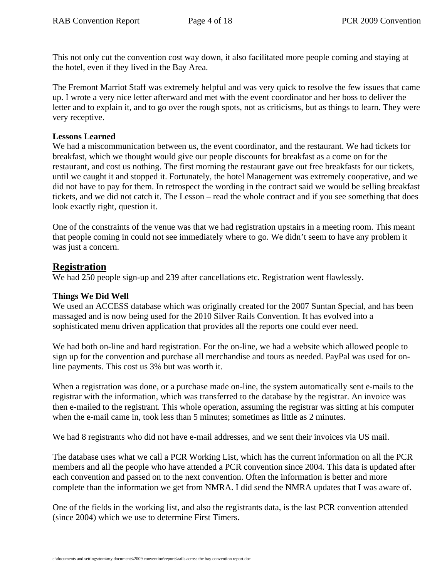This not only cut the convention cost way down, it also facilitated more people coming and staying at the hotel, even if they lived in the Bay Area.

The Fremont Marriot Staff was extremely helpful and was very quick to resolve the few issues that came up. I wrote a very nice letter afterward and met with the event coordinator and her boss to deliver the letter and to explain it, and to go over the rough spots, not as criticisms, but as things to learn. They were very receptive.

#### **Lessons Learned**

We had a miscommunication between us, the event coordinator, and the restaurant. We had tickets for breakfast, which we thought would give our people discounts for breakfast as a come on for the restaurant, and cost us nothing. The first morning the restaurant gave out free breakfasts for our tickets, until we caught it and stopped it. Fortunately, the hotel Management was extremely cooperative, and we did not have to pay for them. In retrospect the wording in the contract said we would be selling breakfast tickets, and we did not catch it. The Lesson – read the whole contract and if you see something that does look exactly right, question it.

One of the constraints of the venue was that we had registration upstairs in a meeting room. This meant that people coming in could not see immediately where to go. We didn't seem to have any problem it was just a concern.

#### **Registration**

We had 250 people sign-up and 239 after cancellations etc. Registration went flawlessly.

#### **Things We Did Well**

We used an ACCESS database which was originally created for the 2007 Suntan Special, and has been massaged and is now being used for the 2010 Silver Rails Convention. It has evolved into a sophisticated menu driven application that provides all the reports one could ever need.

We had both on-line and hard registration. For the on-line, we had a website which allowed people to sign up for the convention and purchase all merchandise and tours as needed. PayPal was used for online payments. This cost us 3% but was worth it.

When a registration was done, or a purchase made on-line, the system automatically sent e-mails to the registrar with the information, which was transferred to the database by the registrar. An invoice was then e-mailed to the registrant. This whole operation, assuming the registrar was sitting at his computer when the e-mail came in, took less than 5 minutes; sometimes as little as 2 minutes.

We had 8 registrants who did not have e-mail addresses, and we sent their invoices via US mail.

The database uses what we call a PCR Working List, which has the current information on all the PCR members and all the people who have attended a PCR convention since 2004. This data is updated after each convention and passed on to the next convention. Often the information is better and more complete than the information we get from NMRA. I did send the NMRA updates that I was aware of.

One of the fields in the working list, and also the registrants data, is the last PCR convention attended (since 2004) which we use to determine First Timers.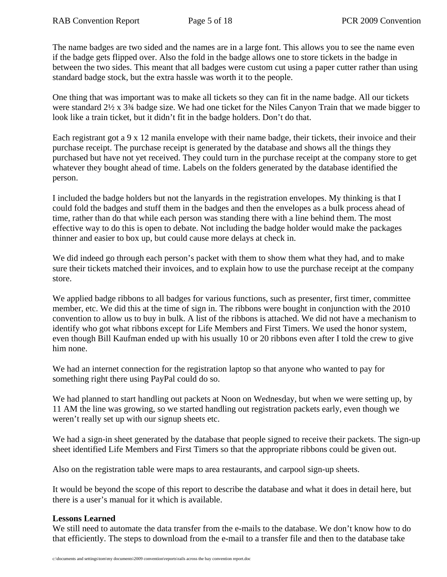The name badges are two sided and the names are in a large font. This allows you to see the name even if the badge gets flipped over. Also the fold in the badge allows one to store tickets in the badge in between the two sides. This meant that all badges were custom cut using a paper cutter rather than using standard badge stock, but the extra hassle was worth it to the people.

One thing that was important was to make all tickets so they can fit in the name badge. All our tickets were standard 2½ x 3¾ badge size. We had one ticket for the Niles Canyon Train that we made bigger to look like a train ticket, but it didn't fit in the badge holders. Don't do that.

Each registrant got a 9 x 12 manila envelope with their name badge, their tickets, their invoice and their purchase receipt. The purchase receipt is generated by the database and shows all the things they purchased but have not yet received. They could turn in the purchase receipt at the company store to get whatever they bought ahead of time. Labels on the folders generated by the database identified the person.

I included the badge holders but not the lanyards in the registration envelopes. My thinking is that I could fold the badges and stuff them in the badges and then the envelopes as a bulk process ahead of time, rather than do that while each person was standing there with a line behind them. The most effective way to do this is open to debate. Not including the badge holder would make the packages thinner and easier to box up, but could cause more delays at check in.

We did indeed go through each person's packet with them to show them what they had, and to make sure their tickets matched their invoices, and to explain how to use the purchase receipt at the company store.

We applied badge ribbons to all badges for various functions, such as presenter, first timer, committee member, etc. We did this at the time of sign in. The ribbons were bought in conjunction with the 2010 convention to allow us to buy in bulk. A list of the ribbons is attached. We did not have a mechanism to identify who got what ribbons except for Life Members and First Timers. We used the honor system, even though Bill Kaufman ended up with his usually 10 or 20 ribbons even after I told the crew to give him none.

We had an internet connection for the registration laptop so that anyone who wanted to pay for something right there using PayPal could do so.

We had planned to start handling out packets at Noon on Wednesday, but when we were setting up, by 11 AM the line was growing, so we started handling out registration packets early, even though we weren't really set up with our signup sheets etc.

We had a sign-in sheet generated by the database that people signed to receive their packets. The sign-up sheet identified Life Members and First Timers so that the appropriate ribbons could be given out.

Also on the registration table were maps to area restaurants, and carpool sign-up sheets.

It would be beyond the scope of this report to describe the database and what it does in detail here, but there is a user's manual for it which is available.

### **Lessons Learned**

We still need to automate the data transfer from the e-mails to the database. We don't know how to do that efficiently. The steps to download from the e-mail to a transfer file and then to the database take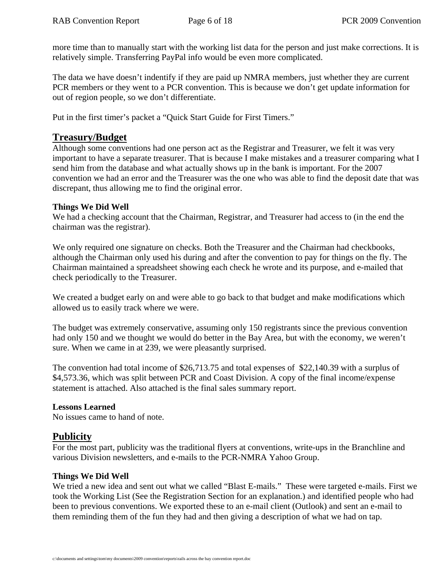more time than to manually start with the working list data for the person and just make corrections. It is relatively simple. Transferring PayPal info would be even more complicated.

The data we have doesn't indentify if they are paid up NMRA members, just whether they are current PCR members or they went to a PCR convention. This is because we don't get update information for out of region people, so we don't differentiate.

Put in the first timer's packet a "Quick Start Guide for First Timers."

# **Treasury/Budget**

Although some conventions had one person act as the Registrar and Treasurer, we felt it was very important to have a separate treasurer. That is because I make mistakes and a treasurer comparing what I send him from the database and what actually shows up in the bank is important. For the 2007 convention we had an error and the Treasurer was the one who was able to find the deposit date that was discrepant, thus allowing me to find the original error.

#### **Things We Did Well**

We had a checking account that the Chairman, Registrar, and Treasurer had access to (in the end the chairman was the registrar).

We only required one signature on checks. Both the Treasurer and the Chairman had checkbooks, although the Chairman only used his during and after the convention to pay for things on the fly. The Chairman maintained a spreadsheet showing each check he wrote and its purpose, and e-mailed that check periodically to the Treasurer.

We created a budget early on and were able to go back to that budget and make modifications which allowed us to easily track where we were.

The budget was extremely conservative, assuming only 150 registrants since the previous convention had only 150 and we thought we would do better in the Bay Area, but with the economy, we weren't sure. When we came in at 239, we were pleasantly surprised.

The convention had total income of \$26,713.75 and total expenses of \$22,140.39 with a surplus of \$4,573.36, which was split between PCR and Coast Division. A copy of the final income/expense statement is attached. Also attached is the final sales summary report.

### **Lessons Learned**

No issues came to hand of note.

# **Publicity**

For the most part, publicity was the traditional flyers at conventions, write-ups in the Branchline and various Division newsletters, and e-mails to the PCR-NMRA Yahoo Group.

#### **Things We Did Well**

We tried a new idea and sent out what we called "Blast E-mails." These were targeted e-mails. First we took the Working List (See the Registration Section for an explanation.) and identified people who had been to previous conventions. We exported these to an e-mail client (Outlook) and sent an e-mail to them reminding them of the fun they had and then giving a description of what we had on tap.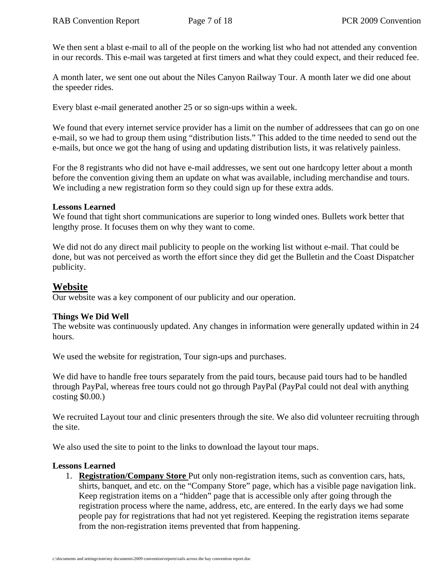We then sent a blast e-mail to all of the people on the working list who had not attended any convention in our records. This e-mail was targeted at first timers and what they could expect, and their reduced fee.

A month later, we sent one out about the Niles Canyon Railway Tour. A month later we did one about the speeder rides.

Every blast e-mail generated another 25 or so sign-ups within a week.

We found that every internet service provider has a limit on the number of addressees that can go on one e-mail, so we had to group them using "distribution lists." This added to the time needed to send out the e-mails, but once we got the hang of using and updating distribution lists, it was relatively painless.

For the 8 registrants who did not have e-mail addresses, we sent out one hardcopy letter about a month before the convention giving them an update on what was available, including merchandise and tours. We including a new registration form so they could sign up for these extra adds.

#### **Lessons Learned**

We found that tight short communications are superior to long winded ones. Bullets work better that lengthy prose. It focuses them on why they want to come.

We did not do any direct mail publicity to people on the working list without e-mail. That could be done, but was not perceived as worth the effort since they did get the Bulletin and the Coast Dispatcher publicity.

### **Website**

Our website was a key component of our publicity and our operation.

### **Things We Did Well**

The website was continuously updated. Any changes in information were generally updated within in 24 hours.

We used the website for registration, Tour sign-ups and purchases.

We did have to handle free tours separately from the paid tours, because paid tours had to be handled through PayPal, whereas free tours could not go through PayPal (PayPal could not deal with anything costing \$0.00.)

We recruited Layout tour and clinic presenters through the site. We also did volunteer recruiting through the site.

We also used the site to point to the links to download the layout tour maps.

#### **Lessons Learned**

1. **Registration/Company Store** Put only non-registration items, such as convention cars, hats, shirts, banquet, and etc. on the "Company Store" page, which has a visible page navigation link. Keep registration items on a "hidden" page that is accessible only after going through the registration process where the name, address, etc, are entered. In the early days we had some people pay for registrations that had not yet registered. Keeping the registration items separate from the non-registration items prevented that from happening.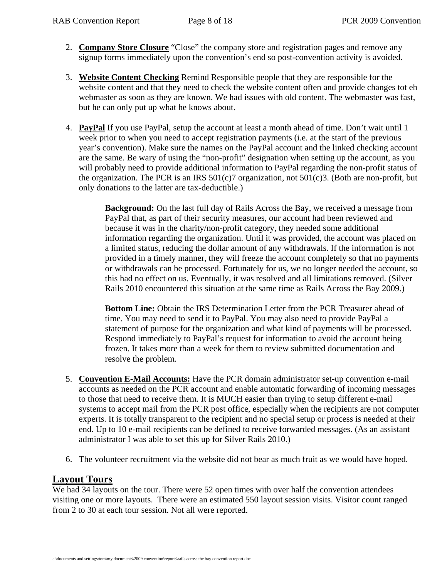- 2. **Company Store Closure** "Close" the company store and registration pages and remove any signup forms immediately upon the convention's end so post-convention activity is avoided.
- 3. **Website Content Checking** Remind Responsible people that they are responsible for the website content and that they need to check the website content often and provide changes tot eh webmaster as soon as they are known. We had issues with old content. The webmaster was fast, but he can only put up what he knows about.
- 4. **PayPal** If you use PayPal, setup the account at least a month ahead of time. Don't wait until 1 week prior to when you need to accept registration payments (i.e. at the start of the previous year's convention). Make sure the names on the PayPal account and the linked checking account are the same. Be wary of using the "non-profit" designation when setting up the account, as you will probably need to provide additional information to PayPal regarding the non-profit status of the organization. The PCR is an IRS  $501(c)7$  organization, not  $501(c)3$ . (Both are non-profit, but only donations to the latter are tax-deductible.)

**Background:** On the last full day of Rails Across the Bay, we received a message from PayPal that, as part of their security measures, our account had been reviewed and because it was in the charity/non-profit category, they needed some additional information regarding the organization. Until it was provided, the account was placed on a limited status, reducing the dollar amount of any withdrawals. If the information is not provided in a timely manner, they will freeze the account completely so that no payments or withdrawals can be processed. Fortunately for us, we no longer needed the account, so this had no effect on us. Eventually, it was resolved and all limitations removed. (Silver Rails 2010 encountered this situation at the same time as Rails Across the Bay 2009.)

**Bottom Line:** Obtain the IRS Determination Letter from the PCR Treasurer ahead of time. You may need to send it to PayPal. You may also need to provide PayPal a statement of purpose for the organization and what kind of payments will be processed. Respond immediately to PayPal's request for information to avoid the account being frozen. It takes more than a week for them to review submitted documentation and resolve the problem.

- 5. **Convention E-Mail Accounts:** Have the PCR domain administrator set-up convention e-mail accounts as needed on the PCR account and enable automatic forwarding of incoming messages to those that need to receive them. It is MUCH easier than trying to setup different e-mail systems to accept mail from the PCR post office, especially when the recipients are not computer experts. It is totally transparent to the recipient and no special setup or process is needed at their end. Up to 10 e-mail recipients can be defined to receive forwarded messages. (As an assistant administrator I was able to set this up for Silver Rails 2010.)
- 6. The volunteer recruitment via the website did not bear as much fruit as we would have hoped.

# **Layout Tours**

We had 34 layouts on the tour. There were 52 open times with over half the convention attendees visiting one or more layouts. There were an estimated 550 layout session visits. Visitor count ranged from 2 to 30 at each tour session. Not all were reported.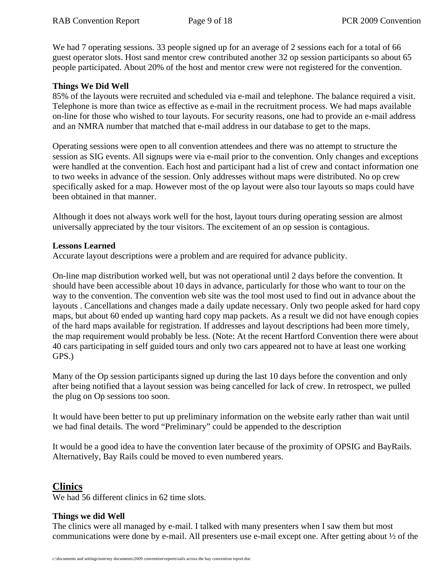We had 7 operating sessions. 33 people signed up for an average of 2 sessions each for a total of 66 guest operator slots. Host sand mentor crew contributed another 32 op session participants so about 65 people participated. About 20% of the host and mentor crew were not registered for the convention.

#### **Things We Did Well**

85% of the layouts were recruited and scheduled via e-mail and telephone. The balance required a visit. Telephone is more than twice as effective as e-mail in the recruitment process. We had maps available on-line for those who wished to tour layouts. For security reasons, one had to provide an e-mail address and an NMRA number that matched that e-mail address in our database to get to the maps.

Operating sessions were open to all convention attendees and there was no attempt to structure the session as SIG events. All signups were via e-mail prior to the convention. Only changes and exceptions were handled at the convention. Each host and participant had a list of crew and contact information one to two weeks in advance of the session. Only addresses without maps were distributed. No op crew specifically asked for a map. However most of the op layout were also tour layouts so maps could have been obtained in that manner.

Although it does not always work well for the host, layout tours during operating session are almost universally appreciated by the tour visitors. The excitement of an op session is contagious.

#### **Lessons Learned**

Accurate layout descriptions were a problem and are required for advance publicity.

On-line map distribution worked well, but was not operational until 2 days before the convention. It should have been accessible about 10 days in advance, particularly for those who want to tour on the way to the convention. The convention web site was the tool most used to find out in advance about the layouts . Cancellations and changes made a daily update necessary. Only two people asked for hard copy maps, but about 60 ended up wanting hard copy map packets. As a result we did not have enough copies of the hard maps available for registration. If addresses and layout descriptions had been more timely, the map requirement would probably be less. (Note: At the recent Hartford Convention there were about 40 cars participating in self guided tours and only two cars appeared not to have at least one working GPS.)

Many of the Op session participants signed up during the last 10 days before the convention and only after being notified that a layout session was being cancelled for lack of crew. In retrospect, we pulled the plug on Op sessions too soon.

It would have been better to put up preliminary information on the website early rather than wait until we had final details. The word "Preliminary" could be appended to the description

It would be a good idea to have the convention later because of the proximity of OPSIG and BayRails. Alternatively, Bay Rails could be moved to even numbered years.

# **Clinics**

We had 56 different clinics in 62 time slots.

#### **Things we did Well**

The clinics were all managed by e-mail. I talked with many presenters when I saw them but most communications were done by e-mail. All presenters use e-mail except one. After getting about ½ of the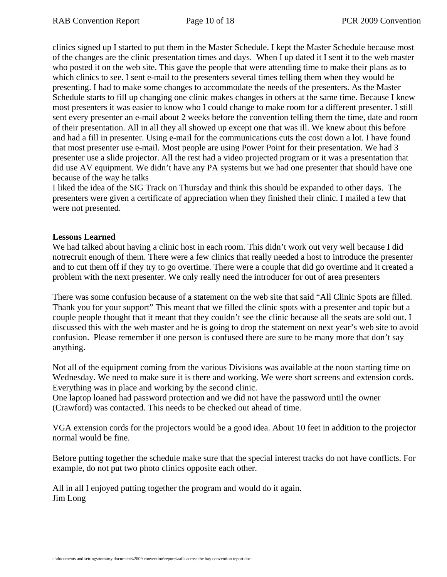clinics signed up I started to put them in the Master Schedule. I kept the Master Schedule because most of the changes are the clinic presentation times and days. When I up dated it I sent it to the web master who posted it on the web site. This gave the people that were attending time to make their plans as to which clinics to see. I sent e-mail to the presenters several times telling them when they would be presenting. I had to make some changes to accommodate the needs of the presenters. As the Master Schedule starts to fill up changing one clinic makes changes in others at the same time. Because I knew most presenters it was easier to know who I could change to make room for a different presenter. I still sent every presenter an e-mail about 2 weeks before the convention telling them the time, date and room of their presentation. All in all they all showed up except one that was ill. We knew about this before and had a fill in presenter. Using e-mail for the communications cuts the cost down a lot. I have found that most presenter use e-mail. Most people are using Power Point for their presentation. We had 3 presenter use a slide projector. All the rest had a video projected program or it was a presentation that did use AV equipment. We didn't have any PA systems but we had one presenter that should have one because of the way he talks

I liked the idea of the SIG Track on Thursday and think this should be expanded to other days. The presenters were given a certificate of appreciation when they finished their clinic. I mailed a few that were not presented.

#### **Lessons Learned**

We had talked about having a clinic host in each room. This didn't work out very well because I did notrecruit enough of them. There were a few clinics that really needed a host to introduce the presenter and to cut them off if they try to go overtime. There were a couple that did go overtime and it created a problem with the next presenter. We only really need the introducer for out of area presenters

There was some confusion because of a statement on the web site that said "All Clinic Spots are filled. Thank you for your support" This meant that we filled the clinic spots with a presenter and topic but a couple people thought that it meant that they couldn't see the clinic because all the seats are sold out. I discussed this with the web master and he is going to drop the statement on next year's web site to avoid confusion. Please remember if one person is confused there are sure to be many more that don't say anything.

Not all of the equipment coming from the various Divisions was available at the noon starting time on Wednesday. We need to make sure it is there and working. We were short screens and extension cords. Everything was in place and working by the second clinic.

One laptop loaned had password protection and we did not have the password until the owner (Crawford) was contacted. This needs to be checked out ahead of time.

VGA extension cords for the projectors would be a good idea. About 10 feet in addition to the projector normal would be fine.

Before putting together the schedule make sure that the special interest tracks do not have conflicts. For example, do not put two photo clinics opposite each other.

All in all I enjoyed putting together the program and would do it again. Jim Long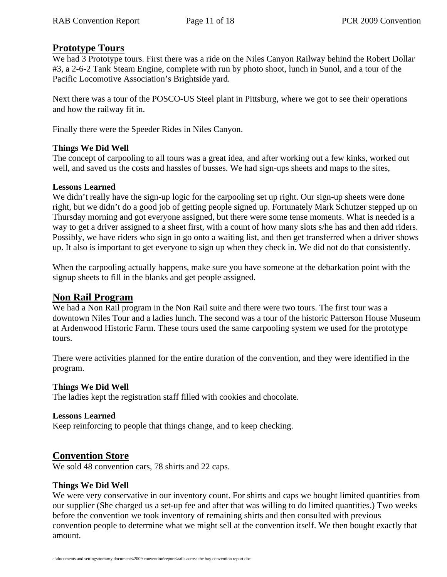### **Prototype Tours**

We had 3 Prototype tours. First there was a ride on the Niles Canyon Railway behind the Robert Dollar #3, a 2-6-2 Tank Steam Engine, complete with run by photo shoot, lunch in Sunol, and a tour of the Pacific Locomotive Association's Brightside yard.

Next there was a tour of the POSCO-US Steel plant in Pittsburg, where we got to see their operations and how the railway fit in.

Finally there were the Speeder Rides in Niles Canyon.

#### **Things We Did Well**

The concept of carpooling to all tours was a great idea, and after working out a few kinks, worked out well, and saved us the costs and hassles of busses. We had sign-ups sheets and maps to the sites,

#### **Lessons Learned**

We didn't really have the sign-up logic for the carpooling set up right. Our sign-up sheets were done right, but we didn't do a good job of getting people signed up. Fortunately Mark Schutzer stepped up on Thursday morning and got everyone assigned, but there were some tense moments. What is needed is a way to get a driver assigned to a sheet first, with a count of how many slots s/he has and then add riders. Possibly, we have riders who sign in go onto a waiting list, and then get transferred when a driver shows up. It also is important to get everyone to sign up when they check in. We did not do that consistently.

When the carpooling actually happens, make sure you have someone at the debarkation point with the signup sheets to fill in the blanks and get people assigned.

# **Non Rail Program**

We had a Non Rail program in the Non Rail suite and there were two tours. The first tour was a downtown Niles Tour and a ladies lunch. The second was a tour of the historic Patterson House Museum at Ardenwood Historic Farm. These tours used the same carpooling system we used for the prototype tours.

There were activities planned for the entire duration of the convention, and they were identified in the program.

#### **Things We Did Well**

The ladies kept the registration staff filled with cookies and chocolate.

#### **Lessons Learned**

Keep reinforcing to people that things change, and to keep checking.

# **Convention Store**

We sold 48 convention cars, 78 shirts and 22 caps.

#### **Things We Did Well**

We were very conservative in our inventory count. For shirts and caps we bought limited quantities from our supplier (She charged us a set-up fee and after that was willing to do limited quantities.) Two weeks before the convention we took inventory of remaining shirts and then consulted with previous convention people to determine what we might sell at the convention itself. We then bought exactly that amount.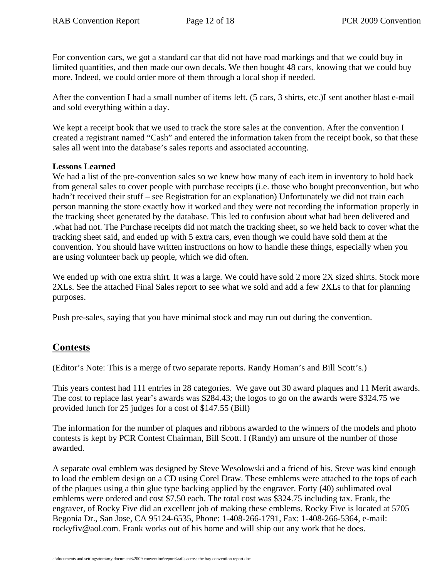For convention cars, we got a standard car that did not have road markings and that we could buy in limited quantities, and then made our own decals. We then bought 48 cars, knowing that we could buy more. Indeed, we could order more of them through a local shop if needed.

After the convention I had a small number of items left. (5 cars, 3 shirts, etc.)I sent another blast e-mail and sold everything within a day.

We kept a receipt book that we used to track the store sales at the convention. After the convention I created a registrant named "Cash" and entered the information taken from the receipt book, so that these sales all went into the database's sales reports and associated accounting.

#### **Lessons Learned**

We had a list of the pre-convention sales so we knew how many of each item in inventory to hold back from general sales to cover people with purchase receipts (i.e. those who bought preconvention, but who hadn't received their stuff – see Registration for an explanation) Unfortunately we did not train each person manning the store exactly how it worked and they were not recording the information properly in the tracking sheet generated by the database. This led to confusion about what had been delivered and .what had not. The Purchase receipts did not match the tracking sheet, so we held back to cover what the tracking sheet said, and ended up with 5 extra cars, even though we could have sold them at the convention. You should have written instructions on how to handle these things, especially when you are using volunteer back up people, which we did often.

We ended up with one extra shirt. It was a large. We could have sold 2 more 2X sized shirts. Stock more 2XLs. See the attached Final Sales report to see what we sold and add a few 2XLs to that for planning purposes.

Push pre-sales, saying that you have minimal stock and may run out during the convention.

# **Contests**

(Editor's Note: This is a merge of two separate reports. Randy Homan's and Bill Scott's.)

This years contest had 111 entries in 28 categories. We gave out 30 award plaques and 11 Merit awards. The cost to replace last year's awards was \$284.43; the logos to go on the awards were \$324.75 we provided lunch for 25 judges for a cost of \$147.55 (Bill)

The information for the number of plaques and ribbons awarded to the winners of the models and photo contests is kept by PCR Contest Chairman, Bill Scott. I (Randy) am unsure of the number of those awarded.

A separate oval emblem was designed by Steve Wesolowski and a friend of his. Steve was kind enough to load the emblem design on a CD using Corel Draw. These emblems were attached to the tops of each of the plaques using a thin glue type backing applied by the engraver. Forty (40) sublimated oval emblems were ordered and cost \$7.50 each. The total cost was \$324.75 including tax. Frank, the engraver, of Rocky Five did an excellent job of making these emblems. Rocky Five is located at 5705 Begonia Dr., San Jose, CA 95124-6535, Phone: 1-408-266-1791, Fax: 1-408-266-5364, e-mail: rockyfiv@aol.com. Frank works out of his home and will ship out any work that he does.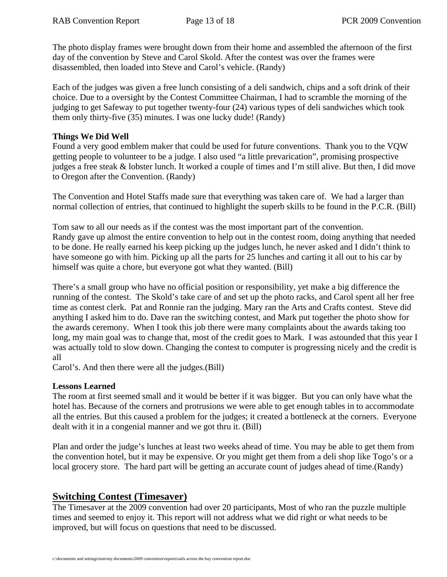The photo display frames were brought down from their home and assembled the afternoon of the first day of the convention by Steve and Carol Skold. After the contest was over the frames were disassembled, then loaded into Steve and Carol's vehicle. (Randy)

Each of the judges was given a free lunch consisting of a deli sandwich, chips and a soft drink of their choice. Due to a oversight by the Contest Committee Chairman, I had to scramble the morning of the judging to get Safeway to put together twenty-four (24) various types of deli sandwiches which took them only thirty-five (35) minutes. I was one lucky dude! (Randy)

#### **Things We Did Well**

Found a very good emblem maker that could be used for future conventions. Thank you to the VQW getting people to volunteer to be a judge. I also used "a little prevarication", promising prospective judges a free steak & lobster lunch. It worked a couple of times and I'm still alive. But then, I did move to Oregon after the Convention. (Randy)

The Convention and Hotel Staffs made sure that everything was taken care of. We had a larger than normal collection of entries, that continued to highlight the superb skills to be found in the P.C.R. (Bill)

Tom saw to all our needs as if the contest was the most important part of the convention. Randy gave up almost the entire convention to help out in the contest room, doing anything that needed to be done. He really earned his keep picking up the judges lunch, he never asked and I didn't think to have someone go with him. Picking up all the parts for 25 lunches and carting it all out to his car by himself was quite a chore, but everyone got what they wanted. (Bill)

There's a small group who have no official position or responsibility, yet make a big difference the running of the contest. The Skold's take care of and set up the photo racks, and Carol spent all her free time as contest clerk. Pat and Ronnie ran the judging. Mary ran the Arts and Crafts contest. Steve did anything I asked him to do. Dave ran the switching contest, and Mark put together the photo show for the awards ceremony. When I took this job there were many complaints about the awards taking too long, my main goal was to change that, most of the credit goes to Mark. I was astounded that this year I was actually told to slow down. Changing the contest to computer is progressing nicely and the credit is all

Carol's. And then there were all the judges.(Bill)

### **Lessons Learned**

The room at first seemed small and it would be better if it was bigger. But you can only have what the hotel has. Because of the corners and protrusions we were able to get enough tables in to accommodate all the entries. But this caused a problem for the judges; it created a bottleneck at the corners. Everyone dealt with it in a congenial manner and we got thru it. (Bill)

Plan and order the judge's lunches at least two weeks ahead of time. You may be able to get them from the convention hotel, but it may be expensive. Or you might get them from a deli shop like Togo's or a local grocery store. The hard part will be getting an accurate count of judges ahead of time.(Randy)

# **Switching Contest (Timesaver)**

The Timesaver at the 2009 convention had over 20 participants, Most of who ran the puzzle multiple times and seemed to enjoy it. This report will not address what we did right or what needs to be improved, but will focus on questions that need to be discussed.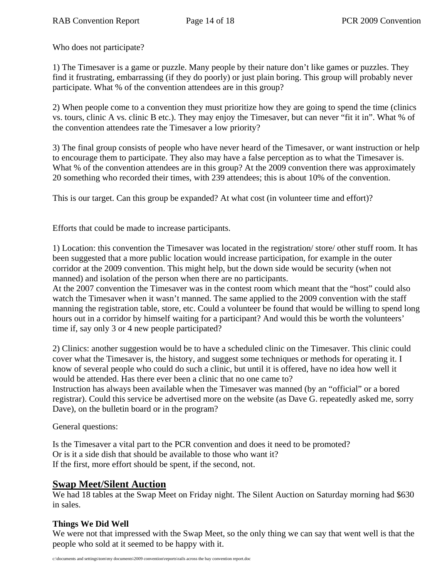Who does not participate?

1) The Timesaver is a game or puzzle. Many people by their nature don't like games or puzzles. They find it frustrating, embarrassing (if they do poorly) or just plain boring. This group will probably never participate. What % of the convention attendees are in this group?

2) When people come to a convention they must prioritize how they are going to spend the time (clinics vs. tours, clinic A vs. clinic B etc.). They may enjoy the Timesaver, but can never "fit it in". What % of the convention attendees rate the Timesaver a low priority?

3) The final group consists of people who have never heard of the Timesaver, or want instruction or help to encourage them to participate. They also may have a false perception as to what the Timesaver is. What % of the convention attendees are in this group? At the 2009 convention there was approximately 20 something who recorded their times, with 239 attendees; this is about 10% of the convention.

This is our target. Can this group be expanded? At what cost (in volunteer time and effort)?

Efforts that could be made to increase participants.

1) Location: this convention the Timesaver was located in the registration/ store/ other stuff room. It has been suggested that a more public location would increase participation, for example in the outer corridor at the 2009 convention. This might help, but the down side would be security (when not manned) and isolation of the person when there are no participants.

At the 2007 convention the Timesaver was in the contest room which meant that the "host" could also watch the Timesaver when it wasn't manned. The same applied to the 2009 convention with the staff manning the registration table, store, etc. Could a volunteer be found that would be willing to spend long hours out in a corridor by himself waiting for a participant? And would this be worth the volunteers' time if, say only 3 or 4 new people participated?

2) Clinics: another suggestion would be to have a scheduled clinic on the Timesaver. This clinic could cover what the Timesaver is, the history, and suggest some techniques or methods for operating it. I know of several people who could do such a clinic, but until it is offered, have no idea how well it would be attended. Has there ever been a clinic that no one came to?

Instruction has always been available when the Timesaver was manned (by an "official" or a bored registrar). Could this service be advertised more on the website (as Dave G. repeatedly asked me, sorry Dave), on the bulletin board or in the program?

General questions:

Is the Timesaver a vital part to the PCR convention and does it need to be promoted? Or is it a side dish that should be available to those who want it? If the first, more effort should be spent, if the second, not.

# **Swap Meet/Silent Auction**

We had 18 tables at the Swap Meet on Friday night. The Silent Auction on Saturday morning had \$630 in sales.

### **Things We Did Well**

We were not that impressed with the Swap Meet, so the only thing we can say that went well is that the people who sold at it seemed to be happy with it.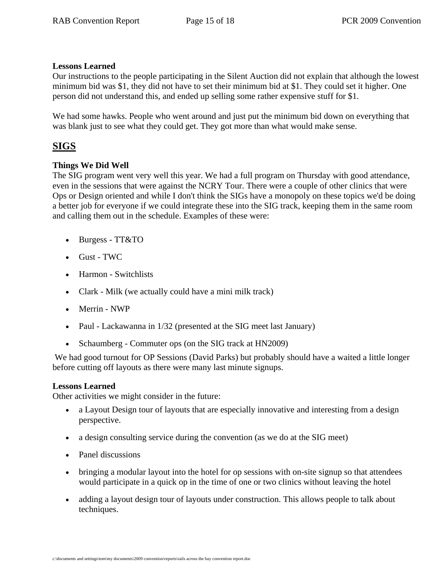#### **Lessons Learned**

Our instructions to the people participating in the Silent Auction did not explain that although the lowest minimum bid was \$1, they did not have to set their minimum bid at \$1. They could set it higher. One person did not understand this, and ended up selling some rather expensive stuff for \$1.

We had some hawks. People who went around and just put the minimum bid down on everything that was blank just to see what they could get. They got more than what would make sense.

# **SIGS**

### **Things We Did Well**

The SIG program went very well this year. We had a full program on Thursday with good attendance, even in the sessions that were against the NCRY Tour. There were a couple of other clinics that were Ops or Design oriented and while I don't think the SIGs have a monopoly on these topics we'd be doing a better job for everyone if we could integrate these into the SIG track, keeping them in the same room and calling them out in the schedule. Examples of these were:

- Burgess TT&TO
- Gust TWC
- Harmon Switchlists
- Clark Milk (we actually could have a mini milk track)
- Merrin NWP
- Paul Lackawanna in 1/32 (presented at the SIG meet last January)
- Schaumberg Commuter ops (on the SIG track at HN2009)

We had good turnout for OP Sessions (David Parks) but probably should have a waited a little longer before cutting off layouts as there were many last minute signups.

#### **Lessons Learned**

Other activities we might consider in the future:

- a Layout Design tour of layouts that are especially innovative and interesting from a design perspective.
- a design consulting service during the convention (as we do at the SIG meet)
- Panel discussions
- bringing a modular layout into the hotel for op sessions with on-site signup so that attendees would participate in a quick op in the time of one or two clinics without leaving the hotel
- adding a layout design tour of layouts under construction. This allows people to talk about techniques.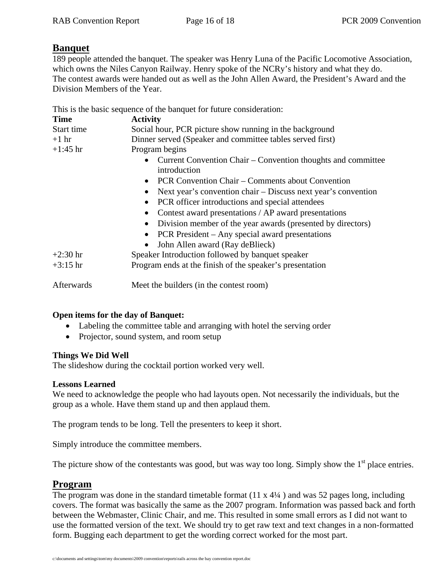# **Banquet**

189 people attended the banquet. The speaker was Henry Luna of the Pacific Locomotive Association, which owns the Niles Canyon Railway. Henry spoke of the NCRy's history and what they do. The contest awards were handed out as well as the John Allen Award, the President's Award and the Division Members of the Year.

This is the basic sequence of the banquet for future consideration:

| <b>Time</b> | <b>Activity</b>                                                              |
|-------------|------------------------------------------------------------------------------|
| Start time  | Social hour, PCR picture show running in the background                      |
| $+1$ hr     | Dinner served (Speaker and committee tables served first)                    |
| $+1:45$ hr  | Program begins                                                               |
|             | Current Convention Chair – Convention thoughts and committee<br>introduction |
|             | • PCR Convention Chair – Comments about Convention                           |
|             | Next year's convention chair – Discuss next year's convention                |
|             | PCR officer introductions and special attendees                              |
|             | Contest award presentations / AP award presentations                         |
|             | Division member of the year awards (presented by directors)<br>$\bullet$     |
|             | PCR President – Any special award presentations                              |
|             | John Allen award (Ray deBlieck)                                              |
| $+2:30$ hr  | Speaker Introduction followed by banquet speaker                             |
| $+3:15$ hr  | Program ends at the finish of the speaker's presentation                     |
| Afterwards  | Meet the builders (in the contest room)                                      |

### **Open items for the day of Banquet:**

- Labeling the committee table and arranging with hotel the serving order
- Projector, sound system, and room setup

#### **Things We Did Well**

The slideshow during the cocktail portion worked very well.

#### **Lessons Learned**

We need to acknowledge the people who had layouts open. Not necessarily the individuals, but the group as a whole. Have them stand up and then applaud them.

The program tends to be long. Tell the presenters to keep it short.

Simply introduce the committee members.

The picture show of the contestants was good, but was way too long. Simply show the  $1<sup>st</sup>$  place entries.

# **Program**

The program was done in the standard timetable format  $(11 \times 4\frac{1}{4})$  and was 52 pages long, including covers. The format was basically the same as the 2007 program. Information was passed back and forth between the Webmaster, Clinic Chair, and me. This resulted in some small errors as I did not want to use the formatted version of the text. We should try to get raw text and text changes in a non-formatted form. Bugging each department to get the wording correct worked for the most part.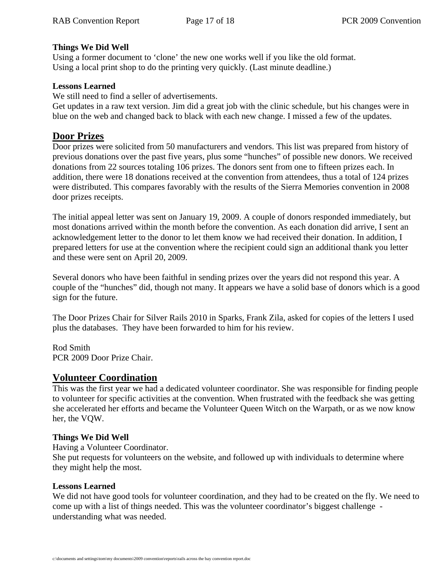#### **Things We Did Well**

Using a former document to 'clone' the new one works well if you like the old format. Using a local print shop to do the printing very quickly. (Last minute deadline.)

#### **Lessons Learned**

We still need to find a seller of advertisements.

Get updates in a raw text version. Jim did a great job with the clinic schedule, but his changes were in blue on the web and changed back to black with each new change. I missed a few of the updates.

# **Door Prizes**

Door prizes were solicited from 50 manufacturers and vendors. This list was prepared from history of previous donations over the past five years, plus some "hunches" of possible new donors. We received donations from 22 sources totaling 106 prizes. The donors sent from one to fifteen prizes each. In addition, there were 18 donations received at the convention from attendees, thus a total of 124 prizes were distributed. This compares favorably with the results of the Sierra Memories convention in 2008 door prizes receipts.

The initial appeal letter was sent on January 19, 2009. A couple of donors responded immediately, but most donations arrived within the month before the convention. As each donation did arrive, I sent an acknowledgement letter to the donor to let them know we had received their donation. In addition, I prepared letters for use at the convention where the recipient could sign an additional thank you letter and these were sent on April 20, 2009.

Several donors who have been faithful in sending prizes over the years did not respond this year. A couple of the "hunches" did, though not many. It appears we have a solid base of donors which is a good sign for the future.

The Door Prizes Chair for Silver Rails 2010 in Sparks, Frank Zila, asked for copies of the letters I used plus the databases. They have been forwarded to him for his review.

Rod Smith PCR 2009 Door Prize Chair.

# **Volunteer Coordination**

This was the first year we had a dedicated volunteer coordinator. She was responsible for finding people to volunteer for specific activities at the convention. When frustrated with the feedback she was getting she accelerated her efforts and became the Volunteer Queen Witch on the Warpath, or as we now know her, the VQW.

#### **Things We Did Well**

Having a Volunteer Coordinator.

She put requests for volunteers on the website, and followed up with individuals to determine where they might help the most.

#### **Lessons Learned**

We did not have good tools for volunteer coordination, and they had to be created on the fly. We need to come up with a list of things needed. This was the volunteer coordinator's biggest challenge understanding what was needed.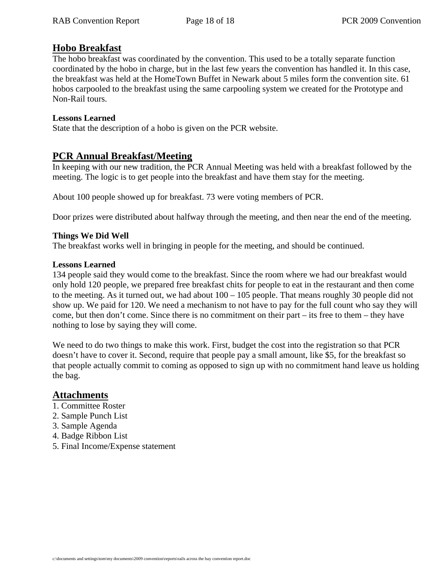# **Hobo Breakfast**

The hobo breakfast was coordinated by the convention. This used to be a totally separate function coordinated by the hobo in charge, but in the last few years the convention has handled it. In this case, the breakfast was held at the HomeTown Buffet in Newark about 5 miles form the convention site. 61 hobos carpooled to the breakfast using the same carpooling system we created for the Prototype and Non-Rail tours.

#### **Lessons Learned**

State that the description of a hobo is given on the PCR website.

### **PCR Annual Breakfast/Meeting**

In keeping with our new tradition, the PCR Annual Meeting was held with a breakfast followed by the meeting. The logic is to get people into the breakfast and have them stay for the meeting.

About 100 people showed up for breakfast. 73 were voting members of PCR.

Door prizes were distributed about halfway through the meeting, and then near the end of the meeting.

#### **Things We Did Well**

The breakfast works well in bringing in people for the meeting, and should be continued.

#### **Lessons Learned**

134 people said they would come to the breakfast. Since the room where we had our breakfast would only hold 120 people, we prepared free breakfast chits for people to eat in the restaurant and then come to the meeting. As it turned out, we had about 100 – 105 people. That means roughly 30 people did not show up. We paid for 120. We need a mechanism to not have to pay for the full count who say they will come, but then don't come. Since there is no commitment on their part – its free to them – they have nothing to lose by saying they will come.

We need to do two things to make this work. First, budget the cost into the registration so that PCR doesn't have to cover it. Second, require that people pay a small amount, like \$5, for the breakfast so that people actually commit to coming as opposed to sign up with no commitment hand leave us holding the bag.

### **Attachments**

- 1. Committee Roster
- 2. Sample Punch List
- 3. Sample Agenda
- 4. Badge Ribbon List
- 5. Final Income/Expense statement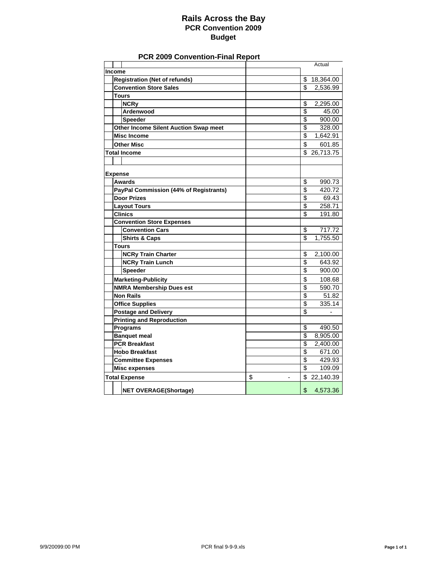#### **Rails Across the Bay PCR Convention 2009 Budget**

#### **PCR 2009 Convention-Final Report**

|        |                                                              |                                |                          | Actual           |
|--------|--------------------------------------------------------------|--------------------------------|--------------------------|------------------|
| Income |                                                              |                                |                          |                  |
|        | <b>Registration (Net of refunds)</b>                         |                                |                          | \$18,364.00      |
|        | <b>Convention Store Sales</b>                                |                                | \$                       | 2,536.99         |
|        | <b>Tours</b>                                                 |                                |                          |                  |
|        | <b>NCRy</b>                                                  |                                | \$                       | 2,295.00         |
|        | Ardenwood                                                    |                                | \$                       | 45.00            |
|        | <b>Speeder</b>                                               |                                | $\overline{\$}$          | 900.00           |
|        | <b>Other Income Silent Auction Swap meet</b>                 |                                | \$                       | 328.00           |
|        | <b>Misc Income</b>                                           |                                | $\overline{\$}$          | 1,642.91         |
|        | <b>Other Misc</b>                                            |                                | \$                       | 601.85           |
|        | <b>Total Income</b>                                          |                                | \$                       | 26.713.75        |
|        |                                                              |                                |                          |                  |
|        |                                                              |                                |                          |                  |
|        | <b>Expense</b>                                               |                                |                          |                  |
|        | <b>Awards</b>                                                |                                | \$<br>\$                 | 990.73           |
|        | PayPal Commission (44% of Registrants)<br><b>Door Prizes</b> |                                | \$                       | 420.72<br>69.43  |
|        |                                                              |                                | \$                       |                  |
|        | <b>Layout Tours</b><br><b>Clinics</b>                        |                                | \$                       | 258.71<br>191.80 |
|        |                                                              |                                |                          |                  |
|        | <b>Convention Store Expenses</b><br><b>Convention Cars</b>   |                                | \$                       | 717.72           |
|        |                                                              |                                | \$                       |                  |
|        | <b>Shirts &amp; Caps</b>                                     |                                |                          | 1,755.50         |
|        | Tours                                                        |                                |                          |                  |
|        | <b>NCRy Train Charter</b>                                    |                                | \$<br>\$                 | 2,100.00         |
|        | <b>NCRy Train Lunch</b><br><b>Speeder</b>                    |                                | \$                       | 643.92<br>900.00 |
|        |                                                              |                                |                          |                  |
|        | <b>Marketing-Publicity</b>                                   |                                | \$                       | 108.68           |
|        | <b>NMRA Membership Dues est</b>                              |                                | $\overline{\mathbf{S}}$  | 590.70           |
|        | <b>Non Rails</b>                                             |                                | \$                       | 51.82            |
|        | <b>Office Supplies</b>                                       |                                | $\overline{\mathcal{S}}$ | 335.14           |
|        | <b>Postage and Delivery</b>                                  |                                | \$                       |                  |
|        | <b>Printing and Reproduction</b>                             |                                |                          |                  |
|        | <b>Programs</b>                                              |                                | \$                       | 490.50           |
|        | <b>Banquet meal</b>                                          |                                | $\overline{\mathcal{S}}$ | 8,905.00         |
|        | <b>PCR Breakfast</b>                                         |                                | $\overline{\mathcal{S}}$ | 2,400.00         |
|        | <b>Hobo Breakfast</b>                                        |                                | $\overline{\mathcal{S}}$ | 671.00           |
|        | <b>Committee Expenses</b>                                    |                                | \$                       | 429.93           |
|        | <b>Misc expenses</b>                                         |                                | \$                       | 109.09           |
|        | <b>Total Expense</b>                                         | \$<br>$\overline{\phantom{a}}$ |                          | \$22,140.39      |
|        | <b>NET OVERAGE(Shortage)</b>                                 |                                | \$                       | 4,573.36         |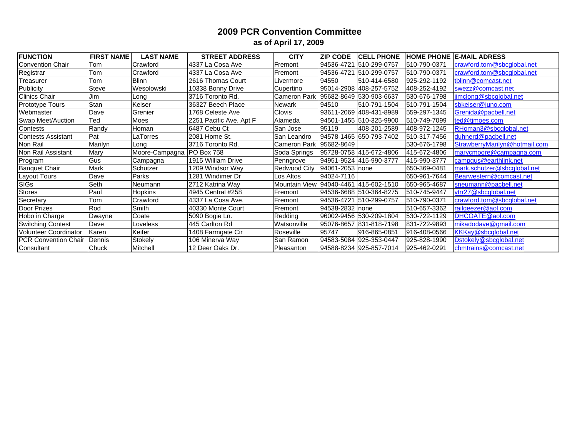#### **2009 PCR Convention Committee as of April 17, 2009**

| <b>FUNCTION</b>             | <b>FIRST NAME</b> | <b>LAST NAME</b>            | <b>STREET ADDRESS</b>   | <b>CITY</b>          | <b>ZIP CODE</b>  | <b>CELL PHONE</b>       |              | <b>HOME PHONE E-MAIL ADRESS</b> |
|-----------------------------|-------------------|-----------------------------|-------------------------|----------------------|------------------|-------------------------|--------------|---------------------------------|
| <b>Convention Chair</b>     | Tom               | Crawford                    | 4337 La Cosa Ave        | Fremont              | 94536-4721       | 510-299-0757            | 510-790-0371 | crawford.tom@sbcglobal.net      |
| Registrar                   | Tom               | Crawford                    | 4337 La Cosa Ave        | Fremont              | 94536-4721       | 510-299-0757            | 510-790-0371 | crawford.tom@sbcglobal.net      |
| Treasurer                   | Tom               | <b>Blinn</b>                | 2616 Thomas Court       | Livermore            | 94550            | 510-414-6580            | 925-292-1192 | tblinn@comcast.net              |
| Publicity                   | Steve             | Wesolowski                  | 10338 Bonny Drive       | Cupertino            |                  | 95014-2908 408-257-5752 | 408-252-4192 | swezz@comcast.net               |
| <b>Clinics Chair</b>        | Jim               | Long                        | 3716 Toronto Rd.        | <b>Cameron Park</b>  |                  | 95682-8649 530-903-6637 | 530-676-1798 | jimclong@sbcglobal.net          |
| Prototype Tours             | <b>Stan</b>       | Keiser                      | 36327 Beech Place       | Newark               | 94510            | 510-791-1504            | 510-791-1504 | sbkeiser@juno.com               |
| Webmaster                   | Dave              | Grenier                     | 1768 Celeste Ave        | Clovis               |                  | 93611-2069 408-431-8989 | 559-297-1345 | Grenida@pacbell.net             |
| Swap Meet/Auction           | Ted               | Moes                        | 2251 Pacific Ave. Apt F | Alameda              |                  | 94501-1455 510-325-9900 | 510-749-7099 | ted@tjmoes.com                  |
| Contests                    | Randy             | Homan                       | 6487 Cebu Ct            | ∣San Jose            | 95119            | 408-201-2589            | 408-972-1245 | RHoman3@sbcglobal.net           |
| <b>Contests Assistant</b>   | Pat               | LaTorres                    | 2081 Home St.           | San Leandro          |                  | 94578-1465 650-793-7402 | 510-317-7456 | duhnerd@pacbell.net             |
| Non Rail                    | Marilyn           | Long                        | 3716 Toronto Rd.        | Cameron Park         | 95682-8649       |                         | 530-676-1798 | StrawberryMarilyn@hotmail.com   |
| Non Rail Assistant          | Mary              | Moore-Campagna   PO Box 758 |                         | Soda Springs         |                  | 95728-0758 415-672-4806 | 415-672-4806 | marycmoore@campagna.com         |
| Program                     | Gus               | Campagna                    | 1915 William Drive      | Penngrove            |                  | 94951-9524 415-990-3777 | 415-990-3777 | campgus@earthlink.net           |
| <b>Banquet Chair</b>        | Mark              | Schutzer                    | 1209 Windsor Way        | <b>Redwood City</b>  | 94061-2053 none  |                         | 650-369-0481 | mark.schutzer@sbcglobal.net     |
| <b>Layout Tours</b>         | Dave              | Parks                       | 1281 Windimer Dr        | Los Altos            | 94024-7116       |                         | 650-961-7644 | Bearwestern@comcast.net         |
| <b>SIGs</b>                 | Seth              | Neumann                     | 2712 Katrina Way        | <b>Mountain View</b> |                  | 94040-4461 415-602-1510 | 650-965-4687 | sneumann@pacbell.net            |
| <b>Stores</b>               | Paul              | <b>Hopkins</b>              | 4945 Central #258       | Fremont              |                  | 94536-6688 510-364-8275 | 510-745-9447 | vtrr27@sbcglobal.net            |
| Secretary                   | Tom               | Crawford                    | 4337 La Cosa Ave.       | Fremont              |                  | 94536-4721 510-299-0757 | 510-790-0371 | crawford.tom@sbcglobal.net      |
| Door Prizes                 | Rod               | Smith                       | 40330 Monte Court       | Fremont              | 94538-2832 Inone |                         | 510-657-3362 | railgeezer@aol.com              |
| Hobo in Charge              | Dwayne            | Coate                       | 5090 Bogie Ln.          | Redding              |                  | 96002-9456 530-209-1804 | 530-722-1129 | DHCOATE@aol.com                 |
| <b>Switching Contest</b>    | Dave              | Loveless                    | 445 Carlton Rd          | Watsonville          |                  | 95076-8657 831-818-7198 | 831-722-9893 | mikadodave@gmail.com            |
| Volunteer Coordinator       | Karen             | Keifer                      | 1408 Farmgate Cir       | Roseville            | 95747            | 916-865-0851            | 916-408-0566 | KKKay@sbcglobal.net             |
| <b>PCR Convention Chair</b> | Dennis            | Stokely                     | 106 Minerva Way         | San Ramon            |                  | 94583-5084 925-353-0447 | 925-828-1990 | Dstokely@sbcglobal.net          |
| Consultant                  | Chuck             | Mitchell                    | 12 Deer Oaks Dr.        | Pleasanton           |                  | 94588-8234 925-857-7014 | 925-462-0291 | cbmtrains@comcast.net           |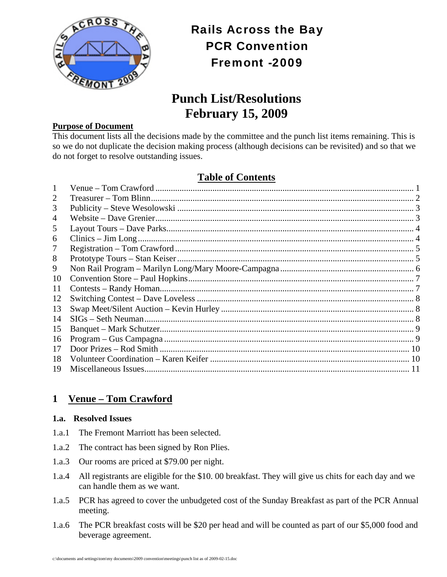

# Rails Across the Bay PCR Convention Fremont -2009

# **Punch List/Resolutions February 15, 2009**

#### **Purpose of Document**

This document lists all the decisions made by the committee and the punch list items remaining. This is so we do not duplicate the decision making process (although decisions can be revisited) and so that we do not forget to resolve outstanding issues.

# **Table of Contents**

| 3  |  |
|----|--|
| 4  |  |
| 5  |  |
| 6  |  |
|    |  |
| 8  |  |
| 9  |  |
| 10 |  |
| 11 |  |
| 12 |  |
| 13 |  |
| 14 |  |
| 15 |  |
| 16 |  |
| 17 |  |
| 18 |  |
| 19 |  |

# **1 Venue – Tom Crawford**

#### **1.a. Resolved Issues**

- 1.a.1 The Fremont Marriott has been selected.
- 1.a.2 The contract has been signed by Ron Plies.
- 1.a.3 Our rooms are priced at \$79.00 per night.
- 1.a.4 All registrants are eligible for the \$10. 00 breakfast. They will give us chits for each day and we can handle them as we want.
- 1.a.5 PCR has agreed to cover the unbudgeted cost of the Sunday Breakfast as part of the PCR Annual meeting.
- 1.a.6 The PCR breakfast costs will be \$20 per head and will be counted as part of our \$5,000 food and beverage agreement.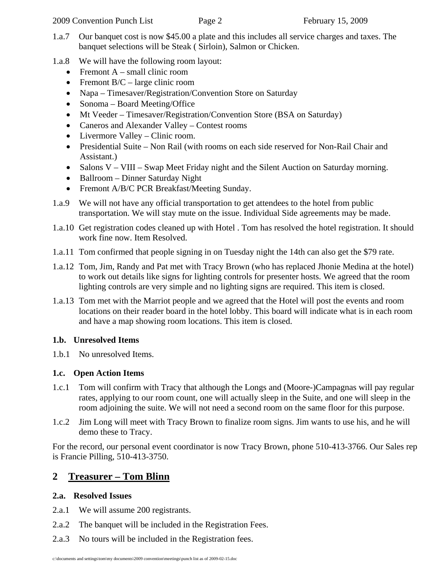- 1.a.7 Our banquet cost is now \$45.00 a plate and this includes all service charges and taxes. The banquet selections will be Steak ( Sirloin), Salmon or Chicken.
- 1.a.8 We will have the following room layout:
	- Fremont  $A$  small clinic room
	- Fremont  $B/C$  large clinic room
	- Napa Timesaver/Registration/Convention Store on Saturday
	- Sonoma Board Meeting/Office
	- Mt Veeder Timesaver/Registration/Convention Store (BSA on Saturday)
	- Caneros and Alexander Valley Contest rooms
	- Livermore Valley Clinic room.
	- Presidential Suite Non Rail (with rooms on each side reserved for Non-Rail Chair and Assistant.)
	- Salons V VIII Swap Meet Friday night and the Silent Auction on Saturday morning.
	- Ballroom Dinner Saturday Night
	- Fremont A/B/C PCR Breakfast/Meeting Sunday.
- 1.a.9 We will not have any official transportation to get attendees to the hotel from public transportation. We will stay mute on the issue. Individual Side agreements may be made.
- 1.a.10 Get registration codes cleaned up with Hotel . Tom has resolved the hotel registration. It should work fine now. Item Resolved.
- 1.a.11 Tom confirmed that people signing in on Tuesday night the 14th can also get the \$79 rate.
- 1.a.12 Tom, Jim, Randy and Pat met with Tracy Brown (who has replaced Jhonie Medina at the hotel) to work out details like signs for lighting controls for presenter hosts. We agreed that the room lighting controls are very simple and no lighting signs are required. This item is closed.
- 1.a.13 Tom met with the Marriot people and we agreed that the Hotel will post the events and room locations on their reader board in the hotel lobby. This board will indicate what is in each room and have a map showing room locations. This item is closed.

# **1.b. Unresolved Items**

1.b.1 No unresolved Items.

# **1.c. Open Action Items**

- 1.c.1 Tom will confirm with Tracy that although the Longs and (Moore-)Campagnas will pay regular rates, applying to our room count, one will actually sleep in the Suite, and one will sleep in the room adjoining the suite. We will not need a second room on the same floor for this purpose.
- 1.c.2 Jim Long will meet with Tracy Brown to finalize room signs. Jim wants to use his, and he will demo these to Tracy.

For the record, our personal event coordinator is now Tracy Brown, phone 510-413-3766. Our Sales rep is Francie Pilling, 510-413-3750.

# **2 Treasurer – Tom Blinn**

# **2.a. Resolved Issues**

- 2.a.1 We will assume 200 registrants.
- 2.a.2 The banquet will be included in the Registration Fees.
- 2.a.3 No tours will be included in the Registration fees.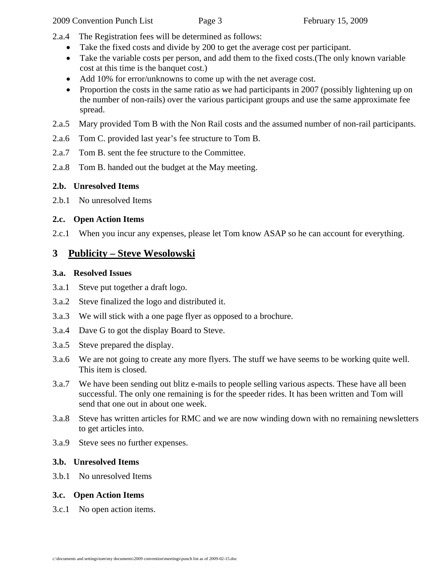- 2.a.4 The Registration fees will be determined as follows:
	- Take the fixed costs and divide by 200 to get the average cost per participant.
	- Take the variable costs per person, and add them to the fixed costs. (The only known variable cost at this time is the banquet cost.)
	- Add 10% for error/unknowns to come up with the net average cost.
	- Proportion the costs in the same ratio as we had participants in 2007 (possibly lightening up on the number of non-rails) over the various participant groups and use the same approximate fee spread.
- 2.a.5 Mary provided Tom B with the Non Rail costs and the assumed number of non-rail participants.
- 2.a.6 Tom C. provided last year's fee structure to Tom B.
- 2.a.7 Tom B. sent the fee structure to the Committee.
- 2.a.8 Tom B. handed out the budget at the May meeting.

#### **2.b. Unresolved Items**

2.b.1 No unresolved Items

#### **2.c. Open Action Items**

2.c.1 When you incur any expenses, please let Tom know ASAP so he can account for everything.

# **3 Publicity – Steve Wesolowski**

#### **3.a. Resolved Issues**

- 3.a.1 Steve put together a draft logo.
- 3.a.2 Steve finalized the logo and distributed it.
- 3.a.3 We will stick with a one page flyer as opposed to a brochure.
- 3.a.4 Dave G to got the display Board to Steve.
- 3.a.5 Steve prepared the display.
- 3.a.6 We are not going to create any more flyers. The stuff we have seems to be working quite well. This item is closed.
- 3.a.7 We have been sending out blitz e-mails to people selling various aspects. These have all been successful. The only one remaining is for the speeder rides. It has been written and Tom will send that one out in about one week.
- 3.a.8 Steve has written articles for RMC and we are now winding down with no remaining newsletters to get articles into.
- 3.a.9 Steve sees no further expenses.

#### **3.b. Unresolved Items**

3.b.1 No unresolved Items

#### **3.c. Open Action Items**

3.c.1 No open action items.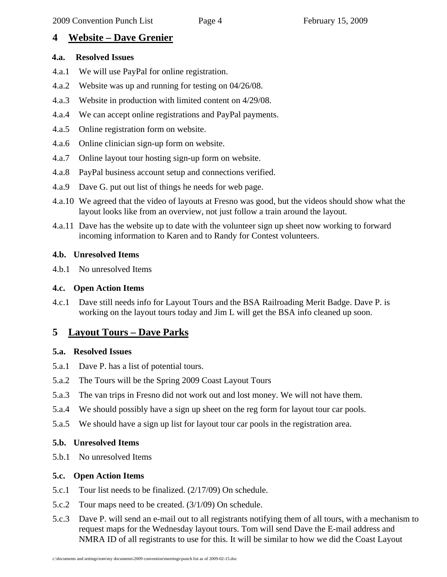# **4 Website – Dave Grenier**

### **4.a. Resolved Issues**

- 4.a.1 We will use PayPal for online registration.
- 4.a.2 Website was up and running for testing on 04/26/08.
- 4.a.3 Website in production with limited content on 4/29/08.
- 4.a.4 We can accept online registrations and PayPal payments.
- 4.a.5 Online registration form on website.
- 4.a.6 Online clinician sign-up form on website.
- 4.a.7 Online layout tour hosting sign-up form on website.
- 4.a.8 PayPal business account setup and connections verified.
- 4.a.9 Dave G. put out list of things he needs for web page.
- 4.a.10 We agreed that the video of layouts at Fresno was good, but the videos should show what the layout looks like from an overview, not just follow a train around the layout.
- 4.a.11 Dave has the website up to date with the volunteer sign up sheet now working to forward incoming information to Karen and to Randy for Contest volunteers.

# **4.b. Unresolved Items**

4.b.1 No unresolved Items

# **4.c. Open Action Items**

4.c.1 Dave still needs info for Layout Tours and the BSA Railroading Merit Badge. Dave P. is working on the layout tours today and Jim L will get the BSA info cleaned up soon.

# **5 Layout Tours – Dave Parks**

# **5.a. Resolved Issues**

- 5.a.1 Dave P. has a list of potential tours.
- 5.a.2 The Tours will be the Spring 2009 Coast Layout Tours
- 5.a.3 The van trips in Fresno did not work out and lost money. We will not have them.
- 5.a.4 We should possibly have a sign up sheet on the reg form for layout tour car pools.
- 5.a.5 We should have a sign up list for layout tour car pools in the registration area.

# **5.b. Unresolved Items**

5.b.1 No unresolved Items

# **5.c. Open Action Items**

- 5.c.1 Tour list needs to be finalized. (2/17/09) On schedule.
- 5.c.2 Tour maps need to be created. (3/1/09) On schedule.
- 5.c.3 Dave P. will send an e-mail out to all registrants notifying them of all tours, with a mechanism to request maps for the Wednesday layout tours. Tom will send Dave the E-mail address and NMRA ID of all registrants to use for this. It will be similar to how we did the Coast Layout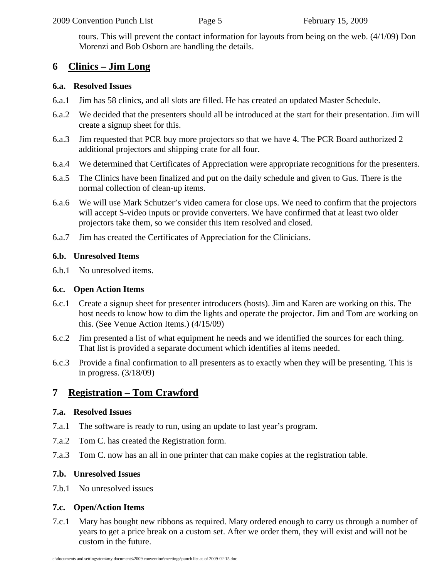tours. This will prevent the contact information for layouts from being on the web. (4/1/09) Don Morenzi and Bob Osborn are handling the details.

# **6 Clinics – Jim Long**

### **6.a. Resolved Issues**

- 6.a.1 Jim has 58 clinics, and all slots are filled. He has created an updated Master Schedule.
- 6.a.2 We decided that the presenters should all be introduced at the start for their presentation. Jim will create a signup sheet for this.
- 6.a.3 Jim requested that PCR buy more projectors so that we have 4. The PCR Board authorized 2 additional projectors and shipping crate for all four.
- 6.a.4 We determined that Certificates of Appreciation were appropriate recognitions for the presenters.
- 6.a.5 The Clinics have been finalized and put on the daily schedule and given to Gus. There is the normal collection of clean-up items.
- 6.a.6 We will use Mark Schutzer's video camera for close ups. We need to confirm that the projectors will accept S-video inputs or provide converters. We have confirmed that at least two older projectors take them, so we consider this item resolved and closed.
- 6.a.7 Jim has created the Certificates of Appreciation for the Clinicians.

# **6.b. Unresolved Items**

6.b.1 No unresolved items.

### **6.c. Open Action Items**

- 6.c.1 Create a signup sheet for presenter introducers (hosts). Jim and Karen are working on this. The host needs to know how to dim the lights and operate the projector. Jim and Tom are working on this. (See Venue Action Items.) (4/15/09)
- 6.c.2 Jim presented a list of what equipment he needs and we identified the sources for each thing. That list is provided a separate document which identifies al items needed.
- 6.c.3 Provide a final confirmation to all presenters as to exactly when they will be presenting. This is in progress. (3/18/09)

# **7 Registration – Tom Crawford**

# **7.a. Resolved Issues**

- 7.a.1 The software is ready to run, using an update to last year's program.
- 7.a.2 Tom C. has created the Registration form.
- 7.a.3 Tom C. now has an all in one printer that can make copies at the registration table.

# **7.b. Unresolved Issues**

7.b.1 No unresolved issues

# **7.c. Open/Action Items**

7.c.1 Mary has bought new ribbons as required. Mary ordered enough to carry us through a number of years to get a price break on a custom set. After we order them, they will exist and will not be custom in the future.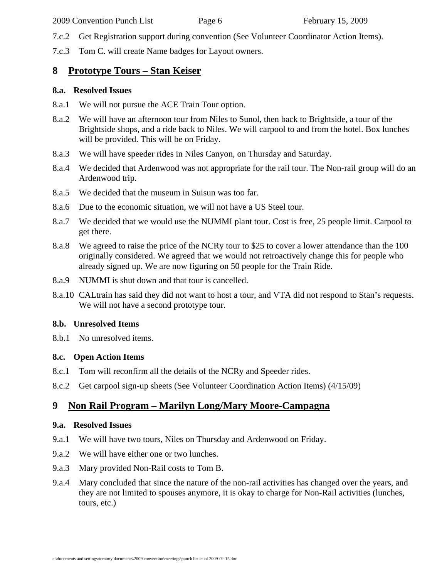- 7.c.2 Get Registration support during convention (See Volunteer Coordinator Action Items).
- 7.c.3 Tom C. will create Name badges for Layout owners.

# **8 Prototype Tours – Stan Keiser**

#### **8.a. Resolved Issues**

- 8.a.1 We will not pursue the ACE Train Tour option.
- 8.a.2 We will have an afternoon tour from Niles to Sunol, then back to Brightside, a tour of the Brightside shops, and a ride back to Niles. We will carpool to and from the hotel. Box lunches will be provided. This will be on Friday.
- 8.a.3 We will have speeder rides in Niles Canyon, on Thursday and Saturday.
- 8.a.4 We decided that Ardenwood was not appropriate for the rail tour. The Non-rail group will do an Ardenwood trip.
- 8.a.5 We decided that the museum in Suisun was too far.
- 8.a.6 Due to the economic situation, we will not have a US Steel tour.
- 8.a.7 We decided that we would use the NUMMI plant tour. Cost is free, 25 people limit. Carpool to get there.
- 8.a.8 We agreed to raise the price of the NCRy tour to \$25 to cover a lower attendance than the 100 originally considered. We agreed that we would not retroactively change this for people who already signed up. We are now figuring on 50 people for the Train Ride.
- 8.a.9 NUMMI is shut down and that tour is cancelled.
- 8.a.10 CALtrain has said they did not want to host a tour, and VTA did not respond to Stan's requests. We will not have a second prototype tour.

### **8.b. Unresolved Items**

8.b.1 No unresolved items.

### **8.c. Open Action Items**

- 8.c.1 Tom will reconfirm all the details of the NCRy and Speeder rides.
- 8.c.2 Get carpool sign-up sheets (See Volunteer Coordination Action Items) (4/15/09)

# **9 Non Rail Program – Marilyn Long/Mary Moore-Campagna**

### **9.a. Resolved Issues**

- 9.a.1 We will have two tours, Niles on Thursday and Ardenwood on Friday.
- 9.a.2 We will have either one or two lunches.
- 9.a.3 Mary provided Non-Rail costs to Tom B.
- 9.a.4 Mary concluded that since the nature of the non-rail activities has changed over the years, and they are not limited to spouses anymore, it is okay to charge for Non-Rail activities (lunches, tours, etc.)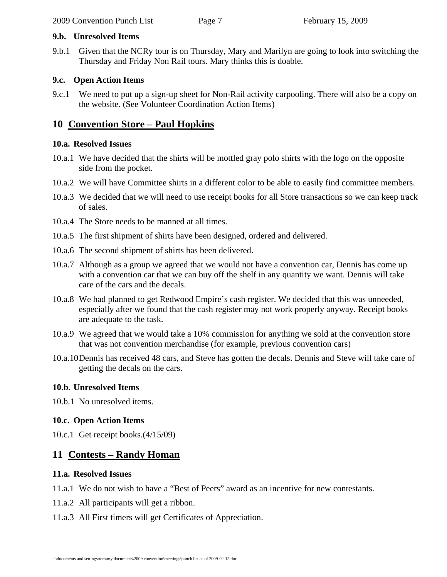#### **9.b. Unresolved Items**

9.b.1 Given that the NCRy tour is on Thursday, Mary and Marilyn are going to look into switching the Thursday and Friday Non Rail tours. Mary thinks this is doable.

#### **9.c. Open Action Items**

9.c.1 We need to put up a sign-up sheet for Non-Rail activity carpooling. There will also be a copy on the website. (See Volunteer Coordination Action Items)

# **10 Convention Store – Paul Hopkins**

#### **10.a. Resolved Issues**

- 10.a.1 We have decided that the shirts will be mottled gray polo shirts with the logo on the opposite side from the pocket.
- 10.a.2 We will have Committee shirts in a different color to be able to easily find committee members.
- 10.a.3 We decided that we will need to use receipt books for all Store transactions so we can keep track of sales.
- 10.a.4 The Store needs to be manned at all times.
- 10.a.5 The first shipment of shirts have been designed, ordered and delivered.
- 10.a.6 The second shipment of shirts has been delivered.
- 10.a.7 Although as a group we agreed that we would not have a convention car, Dennis has come up with a convention car that we can buy off the shelf in any quantity we want. Dennis will take care of the cars and the decals.
- 10.a.8 We had planned to get Redwood Empire's cash register. We decided that this was unneeded, especially after we found that the cash register may not work properly anyway. Receipt books are adequate to the task.
- 10.a.9 We agreed that we would take a 10% commission for anything we sold at the convention store that was not convention merchandise (for example, previous convention cars)
- 10.a.10Dennis has received 48 cars, and Steve has gotten the decals. Dennis and Steve will take care of getting the decals on the cars.

### **10.b. Unresolved Items**

10.b.1 No unresolved items.

### **10.c. Open Action Items**

10.c.1 Get receipt books.(4/15/09)

# **11 Contests – Randy Homan**

#### **11.a. Resolved Issues**

11.a.1 We do not wish to have a "Best of Peers" award as an incentive for new contestants.

- 11.a.2 All participants will get a ribbon.
- 11.a.3 All First timers will get Certificates of Appreciation.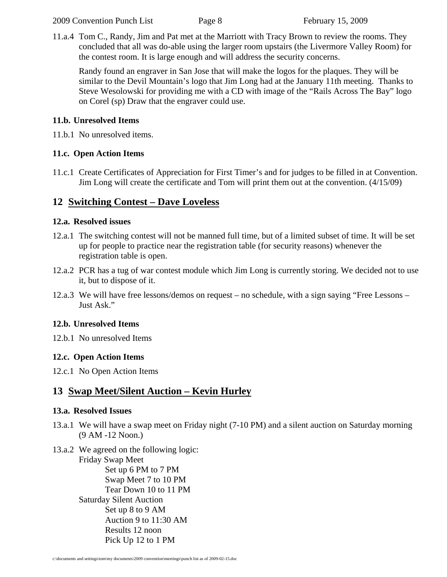11.a.4 Tom C., Randy, Jim and Pat met at the Marriott with Tracy Brown to review the rooms. They concluded that all was do-able using the larger room upstairs (the Livermore Valley Room) for the contest room. It is large enough and will address the security concerns.

Randy found an engraver in San Jose that will make the logos for the plaques. They will be similar to the Devil Mountain's logo that Jim Long had at the January 11th meeting. Thanks to Steve Wesolowski for providing me with a CD with image of the "Rails Across The Bay" logo on Corel (sp) Draw that the engraver could use.

### **11.b. Unresolved Items**

11.b.1 No unresolved items.

### **11.c. Open Action Items**

11.c.1 Create Certificates of Appreciation for First Timer's and for judges to be filled in at Convention. Jim Long will create the certificate and Tom will print them out at the convention. (4/15/09)

# **12 Switching Contest – Dave Loveless**

### **12.a. Resolved issues**

- 12.a.1 The switching contest will not be manned full time, but of a limited subset of time. It will be set up for people to practice near the registration table (for security reasons) whenever the registration table is open.
- 12.a.2 PCR has a tug of war contest module which Jim Long is currently storing. We decided not to use it, but to dispose of it.
- 12.a.3 We will have free lessons/demos on request no schedule, with a sign saying "Free Lessons Just Ask."

### **12.b. Unresolved Items**

12.b.1 No unresolved Items

# **12.c. Open Action Items**

12.c.1 No Open Action Items

# **13 Swap Meet/Silent Auction – Kevin Hurley**

### **13.a. Resolved Issues**

- 13.a.1 We will have a swap meet on Friday night (7-10 PM) and a silent auction on Saturday morning (9 AM -12 Noon.)
- 13.a.2 We agreed on the following logic:

Friday Swap Meet Set up 6 PM to 7 PM Swap Meet 7 to 10 PM Tear Down 10 to 11 PM Saturday Silent Auction Set up 8 to 9 AM Auction 9 to 11:30 AM Results 12 noon Pick Up 12 to 1 PM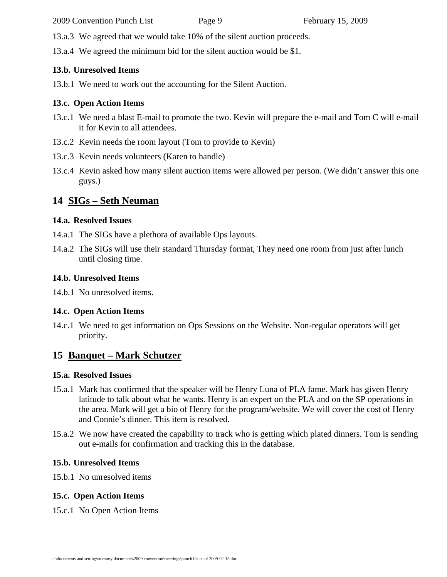2009 Convention Punch List Page 9 February 15, 2009

13.a.3 We agreed that we would take 10% of the silent auction proceeds.

13.a.4 We agreed the minimum bid for the silent auction would be \$1.

### **13.b. Unresolved Items**

13.b.1 We need to work out the accounting for the Silent Auction.

# **13.c. Open Action Items**

- 13.c.1 We need a blast E-mail to promote the two. Kevin will prepare the e-mail and Tom C will e-mail it for Kevin to all attendees.
- 13.c.2 Kevin needs the room layout (Tom to provide to Kevin)
- 13.c.3 Kevin needs volunteers (Karen to handle)
- 13.c.4 Kevin asked how many silent auction items were allowed per person. (We didn't answer this one guys.)

# **14 SIGs – Seth Neuman**

# **14.a. Resolved Issues**

- 14.a.1 The SIGs have a plethora of available Ops layouts.
- 14.a.2 The SIGs will use their standard Thursday format, They need one room from just after lunch until closing time.

# **14.b. Unresolved Items**

14.b.1 No unresolved items.

# **14.c. Open Action Items**

14.c.1 We need to get information on Ops Sessions on the Website. Non-regular operators will get priority.

# **15 Banquet – Mark Schutzer**

# **15.a. Resolved Issues**

- 15.a.1 Mark has confirmed that the speaker will be Henry Luna of PLA fame. Mark has given Henry latitude to talk about what he wants. Henry is an expert on the PLA and on the SP operations in the area. Mark will get a bio of Henry for the program/website. We will cover the cost of Henry and Connie's dinner. This item is resolved.
- 15.a.2 We now have created the capability to track who is getting which plated dinners. Tom is sending out e-mails for confirmation and tracking this in the database.

# **15.b. Unresolved Items**

15.b.1 No unresolved items

# **15.c. Open Action Items**

15.c.1 No Open Action Items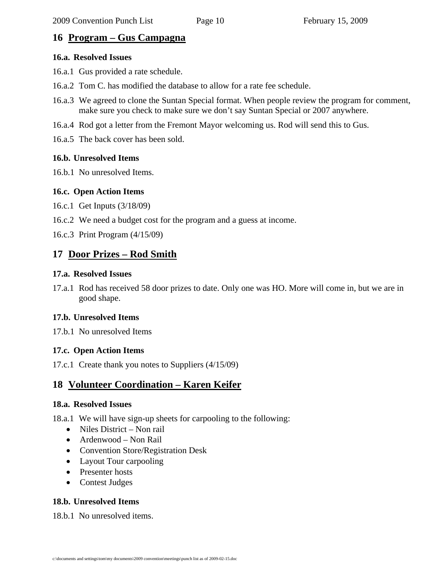# **16 Program – Gus Campagna**

#### **16.a. Resolved Issues**

- 16.a.1 Gus provided a rate schedule.
- 16.a.2 Tom C. has modified the database to allow for a rate fee schedule.
- 16.a.3 We agreed to clone the Suntan Special format. When people review the program for comment, make sure you check to make sure we don't say Suntan Special or 2007 anywhere.
- 16.a.4 Rod got a letter from the Fremont Mayor welcoming us. Rod will send this to Gus.
- 16.a.5 The back cover has been sold.

### **16.b. Unresolved Items**

16.b.1 No unresolved Items.

#### **16.c. Open Action Items**

- 16.c.1 Get Inputs (3/18/09)
- 16.c.2 We need a budget cost for the program and a guess at income.
- 16.c.3 Print Program (4/15/09)

# **17 Door Prizes – Rod Smith**

#### **17.a. Resolved Issues**

17.a.1 Rod has received 58 door prizes to date. Only one was HO. More will come in, but we are in good shape.

### **17.b. Unresolved Items**

17.b.1 No unresolved Items

### **17.c. Open Action Items**

17.c.1 Create thank you notes to Suppliers (4/15/09)

# **18 Volunteer Coordination – Karen Keifer**

#### **18.a. Resolved Issues**

18.a.1 We will have sign-up sheets for carpooling to the following:

- Niles District Non rail
- Ardenwood Non Rail
- Convention Store/Registration Desk
- Layout Tour carpooling
- Presenter hosts
- Contest Judges

### **18.b. Unresolved Items**

18.b.1 No unresolved items.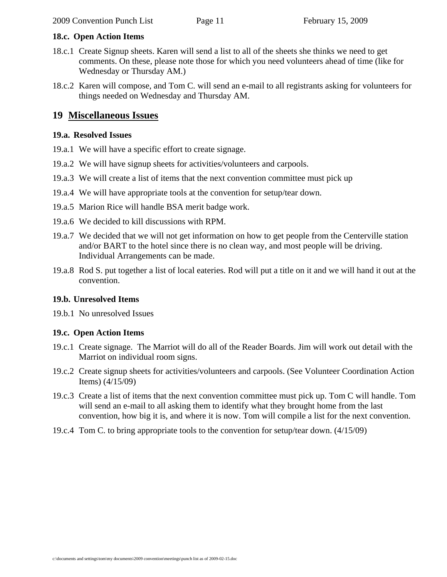# **18.c. Open Action Items**

- 18.c.1 Create Signup sheets. Karen will send a list to all of the sheets she thinks we need to get comments. On these, please note those for which you need volunteers ahead of time (like for Wednesday or Thursday AM.)
- 18.c.2 Karen will compose, and Tom C. will send an e-mail to all registrants asking for volunteers for things needed on Wednesday and Thursday AM.

# **19 Miscellaneous Issues**

# **19.a. Resolved Issues**

- 19.a.1 We will have a specific effort to create signage.
- 19.a.2 We will have signup sheets for activities/volunteers and carpools.
- 19.a.3 We will create a list of items that the next convention committee must pick up
- 19.a.4 We will have appropriate tools at the convention for setup/tear down.
- 19.a.5 Marion Rice will handle BSA merit badge work.
- 19.a.6 We decided to kill discussions with RPM.
- 19.a.7 We decided that we will not get information on how to get people from the Centerville station and/or BART to the hotel since there is no clean way, and most people will be driving. Individual Arrangements can be made.
- 19.a.8 Rod S. put together a list of local eateries. Rod will put a title on it and we will hand it out at the convention.

# **19.b. Unresolved Items**

19.b.1 No unresolved Issues

# **19.c. Open Action Items**

- 19.c.1 Create signage. The Marriot will do all of the Reader Boards. Jim will work out detail with the Marriot on individual room signs.
- 19.c.2 Create signup sheets for activities/volunteers and carpools. (See Volunteer Coordination Action Items) (4/15/09)
- 19.c.3 Create a list of items that the next convention committee must pick up. Tom C will handle. Tom will send an e-mail to all asking them to identify what they brought home from the last convention, how big it is, and where it is now. Tom will compile a list for the next convention.
- 19.c.4 Tom C. to bring appropriate tools to the convention for setup/tear down. (4/15/09)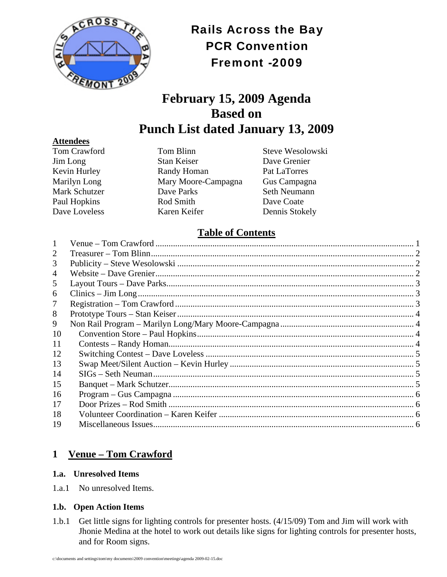

Rails Across the Bay PCR Convention Fremont -2009

# **February 15, 2009 Agenda Based on Punch List dated January 13, 2009**

#### **Attendees**

Tom Crawford Tom Blinn Steve Wesolowski Jim Long Stan Keiser Dave Grenier Kevin Hurley **Randy Homan** Pat LaTorres Marilyn Long Mary Moore-Campagna Gus Campagna Mark Schutzer **Dave Parks** Seth Neumann Paul Hopkins Rod Smith Dave Coate Dave Loveless Karen Keifer Dennis Stokely

# **Table of Contents**

| 2  |  |
|----|--|
| 3  |  |
| 4  |  |
| 5  |  |
| 6  |  |
| 7  |  |
| 8  |  |
| 9  |  |
| 10 |  |
| 11 |  |
| 12 |  |
| 13 |  |
| 14 |  |
| 15 |  |
| 16 |  |
| 17 |  |
| 18 |  |
| 19 |  |

# **1 Venue – Tom Crawford**

### **1.a. Unresolved Items**

1.a.1 No unresolved Items.

# **1.b. Open Action Items**

1.b.1 Get little signs for lighting controls for presenter hosts. (4/15/09) Tom and Jim will work with Jhonie Medina at the hotel to work out details like signs for lighting controls for presenter hosts, and for Room signs.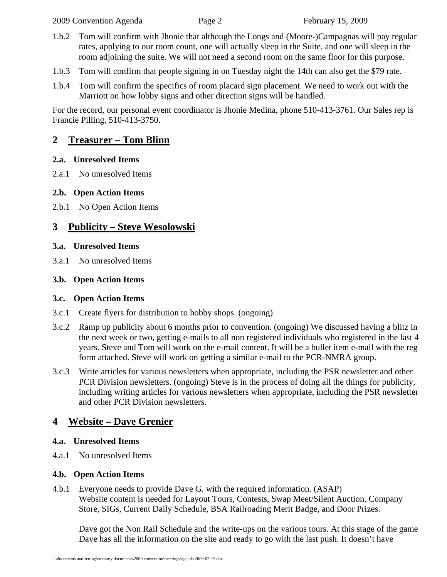- 1.b.2 Tom will confirm with Jhonie that although the Longs and (Moore-)Campagnas will pay regular rates, applying to our room count, one will actually sleep in the Suite, and one will sleep in the room adjoining the suite. We will not need a second room on the same floor for this purpose.
- 1.b.3 Tom will confirm that people signing in on Tuesday night the 14th can also get the \$79 rate.
- 1.b.4 Tom will confirm the specifics of room placard sign placement. We need to work out with the Marriott on how lobby signs and other direction signs will be handled.

For the record, our personal event coordinator is Jhonie Medina, phone 510-413-3761. Our Sales rep is Francie Pilling, 510-413-3750.

# **2 Treasurer – Tom Blinn**

### **2.a. Unresolved Items**

2.a.1 No unresolved Items

# **2.b. Open Action Items**

2.b.1 No Open Action Items

# **3 Publicity – Steve Wesolowski**

### **3.a. Unresolved Items**

3.a.1 No unresolved Items

### **3.b. Open Action Items**

### **3.c. Open Action Items**

- 3.c.1 Create flyers for distribution to hobby shops. (ongoing)
- 3.c.2 Ramp up publicity about 6 months prior to convention. (ongoing) We discussed having a blitz in the next week or two, getting e-mails to all non registered individuals who registered in the last 4 years. Steve and Tom will work on the e-mail content. It will be a bullet item e-mail with the reg form attached. Steve will work on getting a similar e-mail to the PCR-NMRA group.
- 3.c.3 Write articles for various newsletters when appropriate, including the PSR newsletter and other PCR Division newsletters. (ongoing) Steve is in the process of doing all the things for publicity, including writing articles for various newsletters when appropriate, including the PSR newsletter and other PCR Division newsletters.

# **4 Website – Dave Grenier**

### **4.a. Unresolved Items**

4.a.1 No unresolved Items

# **4.b. Open Action Items**

4.b.1 Everyone needs to provide Dave G. with the required information. (ASAP) Website content is needed for Layout Tours, Contests, Swap Meet/Silent Auction, Company Store, SIGs, Current Daily Schedule, BSA Railroading Merit Badge, and Door Prizes.

Dave got the Non Rail Schedule and the write-ups on the various tours. At this stage of the game Dave has all the information on the site and ready to go with the last push. It doesn't have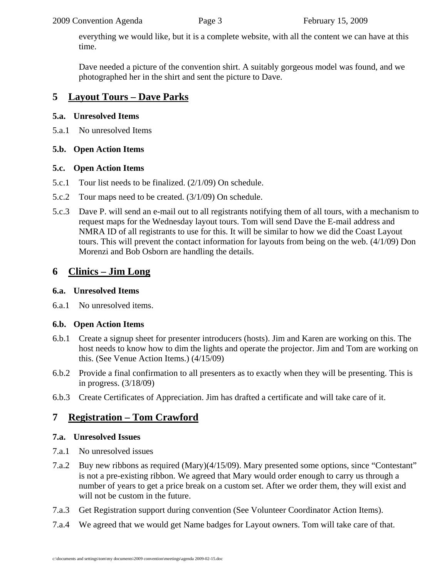#### 2009 Convention Agenda Page 3 February 15, 2009

everything we would like, but it is a complete website, with all the content we can have at this time.

Dave needed a picture of the convention shirt. A suitably gorgeous model was found, and we photographed her in the shirt and sent the picture to Dave.

# **5 Layout Tours – Dave Parks**

### **5.a. Unresolved Items**

5.a.1 No unresolved Items

### **5.b. Open Action Items**

### **5.c. Open Action Items**

- 5.c.1 Tour list needs to be finalized. (2/1/09) On schedule.
- 5.c.2 Tour maps need to be created. (3/1/09) On schedule.
- 5.c.3 Dave P. will send an e-mail out to all registrants notifying them of all tours, with a mechanism to request maps for the Wednesday layout tours. Tom will send Dave the E-mail address and NMRA ID of all registrants to use for this. It will be similar to how we did the Coast Layout tours. This will prevent the contact information for layouts from being on the web. (4/1/09) Don Morenzi and Bob Osborn are handling the details.

# **6 Clinics – Jim Long**

### **6.a. Unresolved Items**

6.a.1 No unresolved items.

# **6.b. Open Action Items**

- 6.b.1 Create a signup sheet for presenter introducers (hosts). Jim and Karen are working on this. The host needs to know how to dim the lights and operate the projector. Jim and Tom are working on this. (See Venue Action Items.) (4/15/09)
- 6.b.2 Provide a final confirmation to all presenters as to exactly when they will be presenting. This is in progress. (3/18/09)
- 6.b.3 Create Certificates of Appreciation. Jim has drafted a certificate and will take care of it.

# **7 Registration – Tom Crawford**

# **7.a. Unresolved Issues**

- 7.a.1 No unresolved issues
- 7.a.2 Buy new ribbons as required (Mary)(4/15/09). Mary presented some options, since "Contestant" is not a pre-existing ribbon. We agreed that Mary would order enough to carry us through a number of years to get a price break on a custom set. After we order them, they will exist and will not be custom in the future.
- 7.a.3 Get Registration support during convention (See Volunteer Coordinator Action Items).
- 7.a.4 We agreed that we would get Name badges for Layout owners. Tom will take care of that.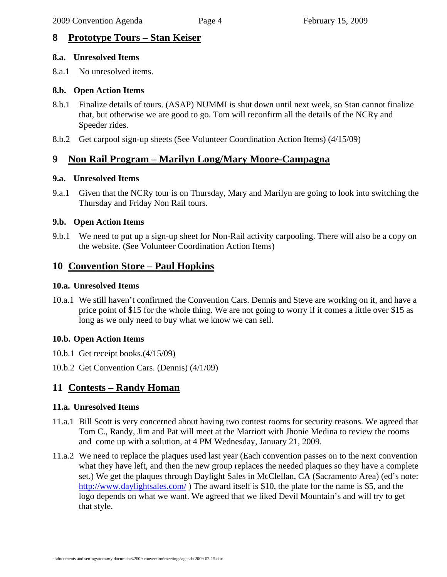# **8 Prototype Tours – Stan Keiser**

#### **8.a. Unresolved Items**

8.a.1 No unresolved items.

### **8.b. Open Action Items**

- 8.b.1 Finalize details of tours. (ASAP) NUMMI is shut down until next week, so Stan cannot finalize that, but otherwise we are good to go. Tom will reconfirm all the details of the NCRy and Speeder rides.
- 8.b.2 Get carpool sign-up sheets (See Volunteer Coordination Action Items) (4/15/09)

# **9 Non Rail Program – Marilyn Long/Mary Moore-Campagna**

### **9.a. Unresolved Items**

9.a.1 Given that the NCRy tour is on Thursday, Mary and Marilyn are going to look into switching the Thursday and Friday Non Rail tours.

### **9.b. Open Action Items**

9.b.1 We need to put up a sign-up sheet for Non-Rail activity carpooling. There will also be a copy on the website. (See Volunteer Coordination Action Items)

# **10 Convention Store – Paul Hopkins**

### **10.a. Unresolved Items**

10.a.1 We still haven't confirmed the Convention Cars. Dennis and Steve are working on it, and have a price point of \$15 for the whole thing. We are not going to worry if it comes a little over \$15 as long as we only need to buy what we know we can sell.

# **10.b. Open Action Items**

- 10.b.1 Get receipt books.(4/15/09)
- 10.b.2 Get Convention Cars. (Dennis) (4/1/09)

# **11 Contests – Randy Homan**

### **11.a. Unresolved Items**

- 11.a.1 Bill Scott is very concerned about having two contest rooms for security reasons. We agreed that Tom C., Randy, Jim and Pat will meet at the Marriott with Jhonie Medina to review the rooms and come up with a solution, at 4 PM Wednesday, January 21, 2009.
- 11.a.2 We need to replace the plaques used last year (Each convention passes on to the next convention what they have left, and then the new group replaces the needed plaques so they have a complete set.) We get the plaques through Daylight Sales in McClellan, CA (Sacramento Area) (ed's note: http://www.daylightsales.com/) The award itself is \$10, the plate for the name is \$5, and the logo depends on what we want. We agreed that we liked Devil Mountain's and will try to get that style.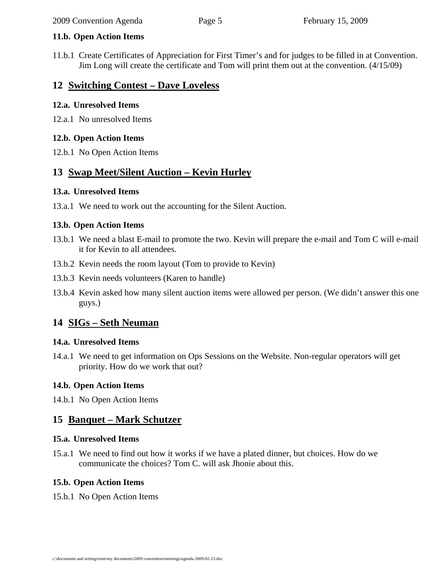#### **11.b. Open Action Items**

11.b.1 Create Certificates of Appreciation for First Timer's and for judges to be filled in at Convention. Jim Long will create the certificate and Tom will print them out at the convention. (4/15/09)

# **12 Switching Contest – Dave Loveless**

### **12.a. Unresolved Items**

12.a.1 No unresolved Items

### **12.b. Open Action Items**

12.b.1 No Open Action Items

# **13 Swap Meet/Silent Auction – Kevin Hurley**

### **13.a. Unresolved Items**

13.a.1 We need to work out the accounting for the Silent Auction.

### **13.b. Open Action Items**

- 13.b.1 We need a blast E-mail to promote the two. Kevin will prepare the e-mail and Tom C will e-mail it for Kevin to all attendees.
- 13.b.2 Kevin needs the room layout (Tom to provide to Kevin)
- 13.b.3 Kevin needs volunteers (Karen to handle)
- 13.b.4 Kevin asked how many silent auction items were allowed per person. (We didn't answer this one guys.)

# **14 SIGs – Seth Neuman**

### **14.a. Unresolved Items**

14.a.1 We need to get information on Ops Sessions on the Website. Non-regular operators will get priority. How do we work that out?

### **14.b. Open Action Items**

14.b.1 No Open Action Items

# **15 Banquet – Mark Schutzer**

### **15.a. Unresolved Items**

15.a.1 We need to find out how it works if we have a plated dinner, but choices. How do we communicate the choices? Tom C. will ask Jhonie about this.

### **15.b. Open Action Items**

15.b.1 No Open Action Items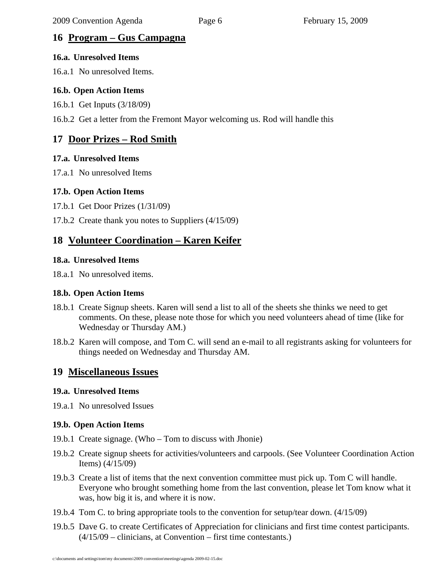# **16 Program – Gus Campagna**

#### **16.a. Unresolved Items**

16.a.1 No unresolved Items.

### **16.b. Open Action Items**

16.b.1 Get Inputs (3/18/09)

16.b.2 Get a letter from the Fremont Mayor welcoming us. Rod will handle this

# **17 Door Prizes – Rod Smith**

#### **17.a. Unresolved Items**

17.a.1 No unresolved Items

#### **17.b. Open Action Items**

17.b.1 Get Door Prizes (1/31/09)

17.b.2 Create thank you notes to Suppliers (4/15/09)

# **18 Volunteer Coordination – Karen Keifer**

#### **18.a. Unresolved Items**

18.a.1 No unresolved items.

#### **18.b. Open Action Items**

- 18.b.1 Create Signup sheets. Karen will send a list to all of the sheets she thinks we need to get comments. On these, please note those for which you need volunteers ahead of time (like for Wednesday or Thursday AM.)
- 18.b.2 Karen will compose, and Tom C. will send an e-mail to all registrants asking for volunteers for things needed on Wednesday and Thursday AM.

# **19 Miscellaneous Issues**

#### **19.a. Unresolved Items**

19.a.1 No unresolved Issues

### **19.b. Open Action Items**

- 19.b.1 Create signage. (Who Tom to discuss with Jhonie)
- 19.b.2 Create signup sheets for activities/volunteers and carpools. (See Volunteer Coordination Action Items) (4/15/09)
- 19.b.3 Create a list of items that the next convention committee must pick up. Tom C will handle. Everyone who brought something home from the last convention, please let Tom know what it was, how big it is, and where it is now.
- 19.b.4 Tom C. to bring appropriate tools to the convention for setup/tear down. (4/15/09)
- 19.b.5 Dave G. to create Certificates of Appreciation for clinicians and first time contest participants. (4/15/09 – clinicians, at Convention – first time contestants.)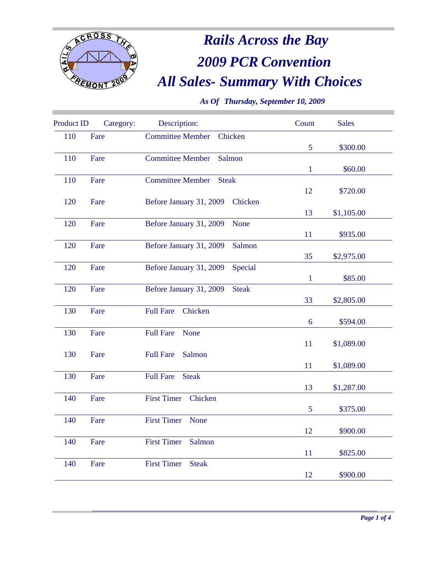

# *All Sales- Summary With Choices Rails Across the Bay* **2009 PCR Convention**

*As Of Thursday, September 10, 2009*

| <b>Product ID</b> | Category: | Description:                            | Count        | <b>Sales</b> |
|-------------------|-----------|-----------------------------------------|--------------|--------------|
| 110               | Fare      | <b>Committee Member</b><br>Chicken      |              |              |
|                   |           |                                         | 5            | \$300.00     |
| 110               | Fare      | <b>Committee Member</b><br>Salmon       |              |              |
|                   |           |                                         | $\mathbf{1}$ | \$60.00      |
| 110               | Fare      | <b>Committee Member</b><br><b>Steak</b> |              |              |
|                   |           |                                         | 12           | \$720.00     |
| 120               | Fare      | Before January 31, 2009<br>Chicken      |              |              |
|                   |           |                                         | 13           | \$1,105.00   |
| 120               | Fare      | None<br>Before January 31, 2009         |              |              |
|                   |           |                                         | 11           | \$935.00     |
| 120               | Fare      | Before January 31, 2009<br>Salmon       |              |              |
|                   |           |                                         | 35           | \$2,975.00   |
| 120               | Fare      | Special<br>Before January 31, 2009      |              |              |
|                   |           |                                         | $\mathbf{1}$ | \$85.00      |
| 120               | Fare      | Before January 31, 2009<br><b>Steak</b> |              |              |
|                   |           |                                         | 33           | \$2,805.00   |
| 130               | Fare      | <b>Full Fare</b><br>Chicken             |              |              |
|                   |           |                                         | 6            | \$594.00     |
| 130               | Fare      | <b>Full Fare</b><br>None                |              |              |
|                   |           |                                         | 11           | \$1,089.00   |
| 130               | Fare      | <b>Full Fare</b><br>Salmon              |              |              |
|                   |           |                                         | 11           | \$1,089.00   |
| 130               | Fare      | <b>Full Fare</b><br><b>Steak</b>        |              |              |
|                   |           |                                         | 13           | \$1,287.00   |
| 140               | Fare      | <b>First Timer</b><br>Chicken           |              |              |
|                   |           |                                         | 5            | \$375.00     |
| 140               | Fare      | <b>First Timer</b><br>None              |              |              |
|                   |           |                                         | 12           | \$900.00     |
| 140               | Fare      | <b>First Timer</b><br>Salmon            |              |              |
|                   |           |                                         | 11           | \$825.00     |
| 140               | Fare      | <b>First Timer</b><br><b>Steak</b>      |              |              |
|                   |           |                                         | 12           | \$900.00     |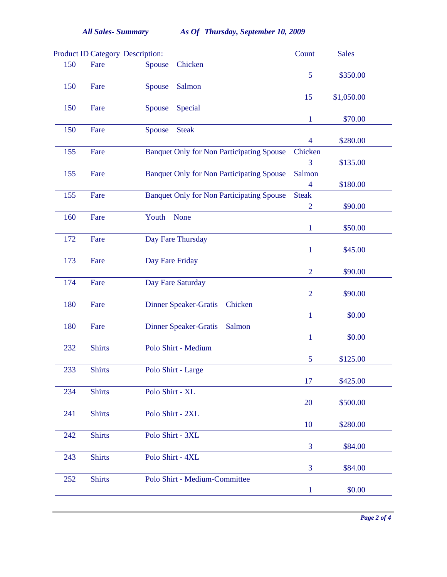|     | <b>Product ID Category Description:</b> |                                                  | Count          | <b>Sales</b> |
|-----|-----------------------------------------|--------------------------------------------------|----------------|--------------|
| 150 | Fare                                    | Chicken<br>Spouse                                |                |              |
|     |                                         |                                                  | 5              | \$350.00     |
| 150 | Fare                                    | Salmon<br>Spouse                                 |                |              |
|     |                                         |                                                  | 15             | \$1,050.00   |
| 150 | Fare                                    | Special<br>Spouse                                |                |              |
|     |                                         |                                                  | $\mathbf{1}$   | \$70.00      |
| 150 | Fare                                    | <b>Steak</b><br>Spouse                           |                |              |
| 155 | Fare                                    | <b>Banquet Only for Non Participating Spouse</b> | 4<br>Chicken   | \$280.00     |
|     |                                         |                                                  | 3              | \$135.00     |
| 155 | Fare                                    | <b>Banquet Only for Non Participating Spouse</b> | Salmon         |              |
|     |                                         |                                                  | $\overline{4}$ | \$180.00     |
| 155 | Fare                                    | <b>Banquet Only for Non Participating Spouse</b> | <b>Steak</b>   |              |
|     |                                         |                                                  | $\overline{2}$ | \$90.00      |
| 160 | Fare                                    | Youth<br>None                                    |                |              |
|     |                                         |                                                  | $\mathbf{1}$   | \$50.00      |
| 172 | Fare                                    | Day Fare Thursday                                |                |              |
|     |                                         |                                                  | $\mathbf{1}$   | \$45.00      |
| 173 | Fare                                    | Day Fare Friday                                  |                |              |
|     |                                         |                                                  | $\overline{2}$ | \$90.00      |
| 174 | Fare                                    | Day Fare Saturday                                |                |              |
|     |                                         |                                                  | $\overline{2}$ | \$90.00      |
| 180 | Fare                                    | <b>Dinner Speaker-Gratis</b><br>Chicken          |                |              |
|     |                                         |                                                  | $\mathbf{1}$   | \$0.00       |
| 180 | Fare                                    | <b>Dinner Speaker-Gratis</b><br>Salmon           |                |              |
|     |                                         |                                                  | $\mathbf{1}$   | \$0.00       |
| 232 | <b>Shirts</b>                           | Polo Shirt - Medium                              |                |              |
|     |                                         |                                                  | 5              | \$125.00     |
| 233 | <b>Shirts</b>                           | Polo Shirt - Large                               |                |              |
|     |                                         |                                                  | 17             | \$425.00     |
| 234 | <b>Shirts</b>                           | Polo Shirt - XL                                  |                |              |
|     |                                         |                                                  | 20             | \$500.00     |
| 241 | <b>Shirts</b>                           | Polo Shirt - 2XL                                 |                |              |
|     |                                         |                                                  | 10             | \$280.00     |
| 242 | <b>Shirts</b>                           | Polo Shirt - 3XL                                 |                |              |
|     |                                         |                                                  | 3              | \$84.00      |
| 243 | <b>Shirts</b>                           | Polo Shirt - 4XL                                 | 3              | \$84.00      |
| 252 | <b>Shirts</b>                           | Polo Shirt - Medium-Committee                    |                |              |
|     |                                         |                                                  | $\mathbf{1}$   | \$0.00       |
|     |                                         |                                                  |                |              |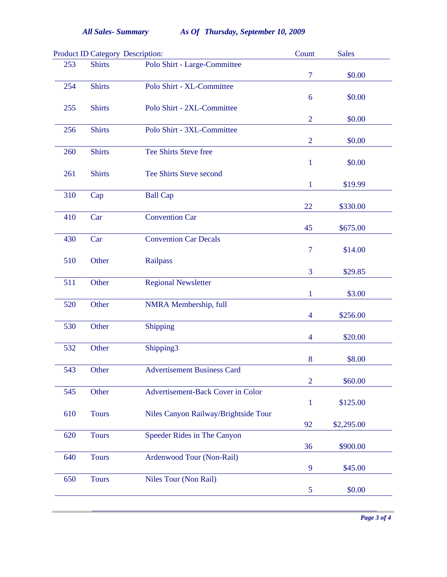|     |               | <b>Product ID Category Description:</b> | Count          | <b>Sales</b> |
|-----|---------------|-----------------------------------------|----------------|--------------|
| 253 | <b>Shirts</b> | Polo Shirt - Large-Committee            |                |              |
|     |               |                                         | $\overline{7}$ | \$0.00       |
| 254 | <b>Shirts</b> | Polo Shirt - XL-Committee               |                |              |
|     |               |                                         | 6              | \$0.00       |
| 255 | <b>Shirts</b> | Polo Shirt - 2XL-Committee              |                |              |
|     |               |                                         | $\overline{2}$ | \$0.00       |
| 256 | <b>Shirts</b> | Polo Shirt - 3XL-Committee              |                |              |
|     |               |                                         | $\overline{2}$ | \$0.00       |
| 260 | <b>Shirts</b> | <b>Tee Shirts Steve free</b>            |                |              |
|     |               |                                         | $\mathbf{1}$   | \$0.00       |
| 261 | <b>Shirts</b> | <b>Tee Shirts Steve second</b>          |                |              |
|     |               |                                         | $\mathbf{1}$   | \$19.99      |
| 310 | Cap           | <b>Ball Cap</b>                         |                |              |
|     |               |                                         | 22             | \$330.00     |
| 410 | Car           | <b>Convention Car</b>                   |                |              |
|     |               |                                         |                |              |
|     |               |                                         | 45             | \$675.00     |
| 430 | Car           | <b>Convention Car Decals</b>            |                |              |
|     |               |                                         | $\overline{7}$ | \$14.00      |
| 510 | Other         | Railpass                                |                |              |
|     |               |                                         | 3              | \$29.85      |
| 511 | Other         | <b>Regional Newsletter</b>              |                |              |
|     |               |                                         | $\mathbf{1}$   | \$3.00       |
| 520 | Other         | <b>NMRA</b> Membership, full            |                |              |
|     |               |                                         | $\overline{4}$ | \$256.00     |
| 530 | Other         | Shipping                                |                |              |
|     |               |                                         | $\overline{4}$ | \$20.00      |
| 532 | Other         | Shipping3                               |                |              |
|     |               |                                         | 8              | \$8.00       |
| 543 | Other         | <b>Advertisement Business Card</b>      |                |              |
|     |               |                                         | $\overline{2}$ | \$60.00      |
| 545 | Other         |                                         |                |              |
|     |               | Advertisement-Back Cover in Color       |                |              |
|     |               |                                         | $\mathbf{1}$   | \$125.00     |
| 610 | <b>Tours</b>  | Niles Canyon Railway/Brightside Tour    |                |              |
|     |               |                                         | 92             | \$2,295.00   |
| 620 | <b>Tours</b>  | Speeder Rides in The Canyon             |                |              |
|     |               |                                         | 36             | \$900.00     |
| 640 | <b>Tours</b>  | Ardenwood Tour (Non-Rail)               |                |              |
|     |               |                                         | $\overline{9}$ | \$45.00      |
| 650 | <b>Tours</b>  | Niles Tour (Non Rail)                   |                |              |
|     |               |                                         | $\overline{5}$ | \$0.00       |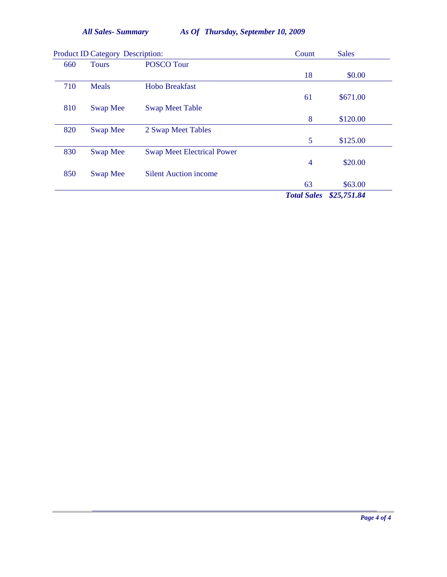*All Sales- Summary Thursday, September 10, 2009 As Of*

|     | <b>Product ID Category Description:</b> |                                   | Count              | <b>Sales</b> |
|-----|-----------------------------------------|-----------------------------------|--------------------|--------------|
| 660 | <b>Tours</b>                            | <b>POSCO Tour</b>                 |                    |              |
|     |                                         |                                   | 18                 | \$0.00       |
| 710 | Meals                                   | <b>Hobo Breakfast</b>             |                    |              |
|     |                                         |                                   | 61                 | \$671.00     |
| 810 | <b>Swap Mee</b>                         | <b>Swap Meet Table</b>            |                    |              |
|     |                                         |                                   | 8                  | \$120.00     |
| 820 | Swap Mee                                | 2 Swap Meet Tables                |                    |              |
|     |                                         |                                   | 5                  | \$125.00     |
| 830 | Swap Mee                                | <b>Swap Meet Electrical Power</b> |                    |              |
|     |                                         |                                   | $\overline{4}$     | \$20.00      |
| 850 | Swap Mee                                | <b>Silent Auction income</b>      |                    |              |
|     |                                         |                                   | 63                 | \$63.00      |
|     |                                         |                                   | <b>Total Sales</b> | \$25,751.84  |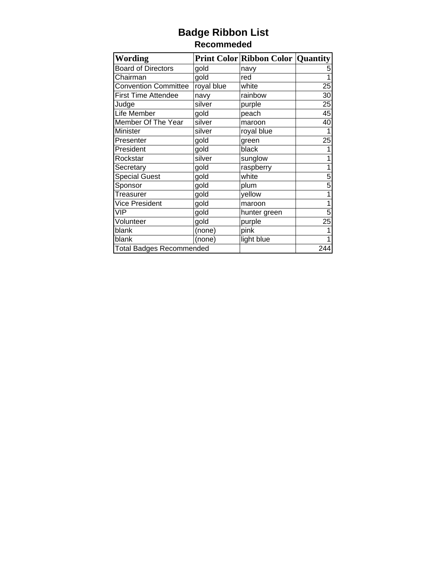# **Badge Ribbon List Recommeded**

| <b>Wording</b>                  |            | <b>Print Color Ribbon Color Quantity</b> |     |
|---------------------------------|------------|------------------------------------------|-----|
| Board of Directors              | gold       | navy                                     | 5   |
| Chairman                        | gold       | red                                      |     |
| <b>Convention Committee</b>     | royal blue | white                                    | 25  |
| <b>First Time Attendee</b>      | navy       | rainbow                                  | 30  |
| Judge                           | silver     | purple                                   | 25  |
| Life Member                     | gold       | peach                                    | 45  |
| Member Of The Year              | silver     | maroon                                   | 40  |
| Minister                        | silver     | royal blue                               |     |
| Presenter                       | gold       | green                                    | 25  |
| President                       | gold       | black                                    |     |
| Rockstar                        | silver     | sunglow                                  |     |
| Secretary                       | gold       | raspberry                                | 1   |
| <b>Special Guest</b>            | gold       | white                                    | 5   |
| Sponsor                         | gold       | plum                                     | 5   |
| Treasurer                       | gold       | yellow                                   |     |
| Vice President                  | gold       | maroon                                   |     |
| VIP                             | gold       | hunter green                             | 5   |
| Volunteer                       | gold       | purple                                   | 25  |
| blank                           | (none)     | pink                                     |     |
| blank                           | (none)     | light blue                               |     |
| <b>Total Badges Recommended</b> |            |                                          | 244 |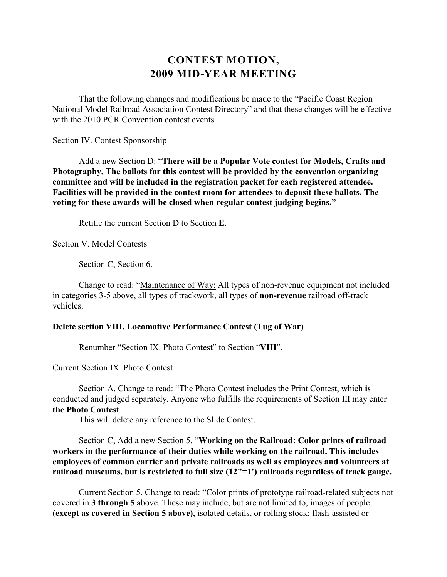# **CONTEST MOTION, 2009 MID-YEAR MEETING**

That the following changes and modifications be made to the "Pacific Coast Region National Model Railroad Association Contest Directory" and that these changes will be effective with the 2010 PCR Convention contest events.

Section IV. Contest Sponsorship

Add a new Section D: "**There will be a Popular Vote contest for Models, Crafts and Photography. The ballots for this contest will be provided by the convention organizing committee and will be included in the registration packet for each registered attendee. Facilities will be provided in the contest room for attendees to deposit these ballots. The voting for these awards will be closed when regular contest judging begins."**

Retitle the current Section D to Section **E**.

Section V. Model Contests

Section C, Section 6.

Change to read: "Maintenance of Way: All types of non-revenue equipment not included in categories 3-5 above, all types of trackwork, all types of **non-revenue** railroad off-track vehicles.

#### **Delete section VIII. Locomotive Performance Contest (Tug of War)**

Renumber "Section IX. Photo Contest" to Section "**VIII**".

Current Section IX. Photo Contest

Section A. Change to read: "The Photo Contest includes the Print Contest, which **is** conducted and judged separately. Anyone who fulfills the requirements of Section III may enter **the Photo Contest**.

This will delete any reference to the Slide Contest.

Section C, Add a new Section 5. "**Working on the Railroad: Color prints of railroad workers in the performance of their duties while working on the railroad. This includes employees of common carrier and private railroads as well as employees and volunteers at railroad museums, but is restricted to full size (12"=1') railroads regardless of track gauge.**

Current Section 5. Change to read: "Color prints of prototype railroad-related subjects not covered in **3 through 5** above. These may include, but are not limited to, images of people **(except as covered in Section 5 above)**, isolated details, or rolling stock; flash-assisted or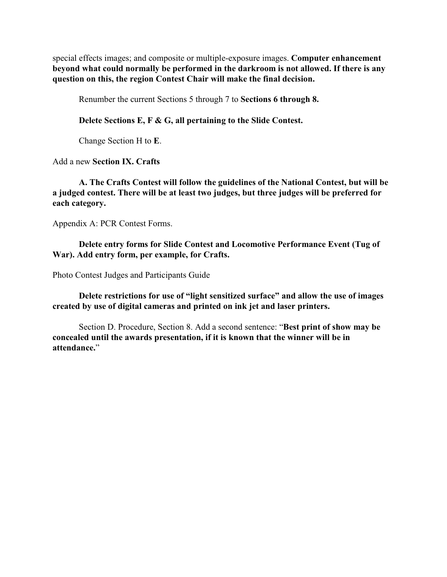special effects images; and composite or multiple-exposure images. **Computer enhancement beyond what could normally be performed in the darkroom is not allowed. If there is any question on this, the region Contest Chair will make the final decision.**

Renumber the current Sections 5 through 7 to **Sections 6 through 8.**

**Delete Sections E, F & G, all pertaining to the Slide Contest.**

Change Section H to **E**.

Add a new **Section IX. Crafts**

**A. The Crafts Contest will follow the guidelines of the National Contest, but will be a judged contest. There will be at least two judges, but three judges will be preferred for each category.**

Appendix A: PCR Contest Forms.

**Delete entry forms for Slide Contest and Locomotive Performance Event (Tug of War). Add entry form, per example, for Crafts.**

Photo Contest Judges and Participants Guide

**Delete restrictions for use of "light sensitized surface" and allow the use of images created by use of digital cameras and printed on ink jet and laser printers.**

Section D. Procedure, Section 8. Add a second sentence: "**Best print of show may be concealed until the awards presentation, if it is known that the winner will be in attendance.**"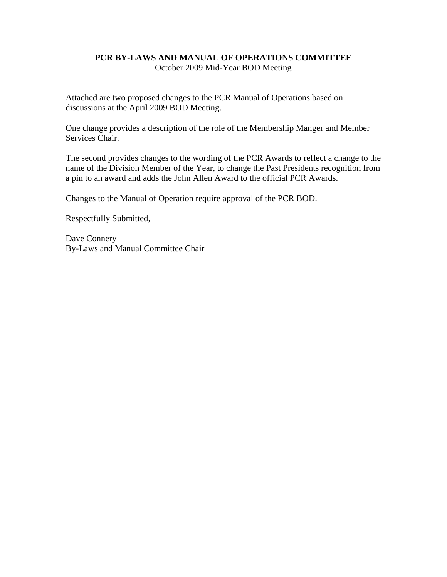#### **PCR BY-LAWS AND MANUAL OF OPERATIONS COMMITTEE**  October 2009 Mid-Year BOD Meeting

Attached are two proposed changes to the PCR Manual of Operations based on discussions at the April 2009 BOD Meeting.

One change provides a description of the role of the Membership Manger and Member Services Chair.

The second provides changes to the wording of the PCR Awards to reflect a change to the name of the Division Member of the Year, to change the Past Presidents recognition from a pin to an award and adds the John Allen Award to the official PCR Awards.

Changes to the Manual of Operation require approval of the PCR BOD.

Respectfully Submitted,

Dave Connery By-Laws and Manual Committee Chair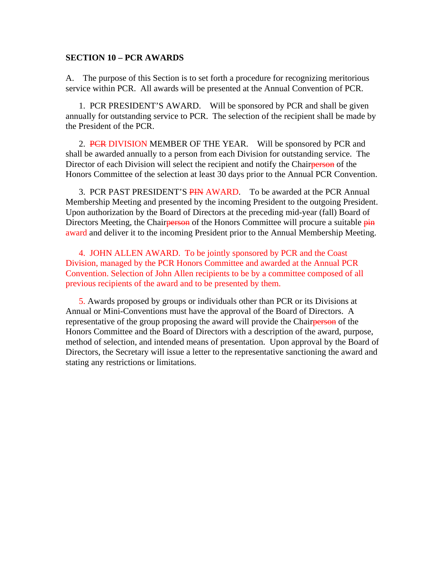#### **SECTION 10 – PCR AWARDS**

A. The purpose of this Section is to set forth a procedure for recognizing meritorious service within PCR. All awards will be presented at the Annual Convention of PCR.

 1. PCR PRESIDENT'S AWARD. Will be sponsored by PCR and shall be given annually for outstanding service to PCR. The selection of the recipient shall be made by the President of the PCR.

2. PCR DIVISION MEMBER OF THE YEAR. Will be sponsored by PCR and shall be awarded annually to a person from each Division for outstanding service. The Director of each Division will select the recipient and notify the Chairperson of the Honors Committee of the selection at least 30 days prior to the Annual PCR Convention.

3. PCR PAST PRESIDENT'S PIN AWARD. To be awarded at the PCR Annual Membership Meeting and presented by the incoming President to the outgoing President. Upon authorization by the Board of Directors at the preceding mid-year (fall) Board of Directors Meeting, the Chairperson of the Honors Committee will procure a suitable pin award and deliver it to the incoming President prior to the Annual Membership Meeting.

4. JOHN ALLEN AWARD. To be jointly sponsored by PCR and the Coast Division, managed by the PCR Honors Committee and awarded at the Annual PCR Convention. Selection of John Allen recipients to be by a committee composed of all previous recipients of the award and to be presented by them.

5. Awards proposed by groups or individuals other than PCR or its Divisions at Annual or Mini-Conventions must have the approval of the Board of Directors. A representative of the group proposing the award will provide the Chairperson of the Honors Committee and the Board of Directors with a description of the award, purpose, method of selection, and intended means of presentation. Upon approval by the Board of Directors, the Secretary will issue a letter to the representative sanctioning the award and stating any restrictions or limitations.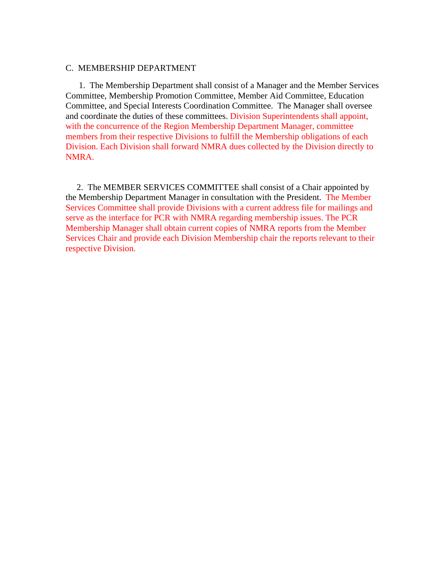#### C. MEMBERSHIP DEPARTMENT

 1. The Membership Department shall consist of a Manager and the Member Services Committee, Membership Promotion Committee, Member Aid Committee, Education Committee, and Special Interests Coordination Committee. The Manager shall oversee and coordinate the duties of these committees. Division Superintendents shall appoint, with the concurrence of the Region Membership Department Manager, committee members from their respective Divisions to fulfill the Membership obligations of each Division. Each Division shall forward NMRA dues collected by the Division directly to NMRA.

 2. The MEMBER SERVICES COMMITTEE shall consist of a Chair appointed by the Membership Department Manager in consultation with the President. The Member Services Committee shall provide Divisions with a current address file for mailings and serve as the interface for PCR with NMRA regarding membership issues. The PCR Membership Manager shall obtain current copies of NMRA reports from the Member Services Chair and provide each Division Membership chair the reports relevant to their respective Division.